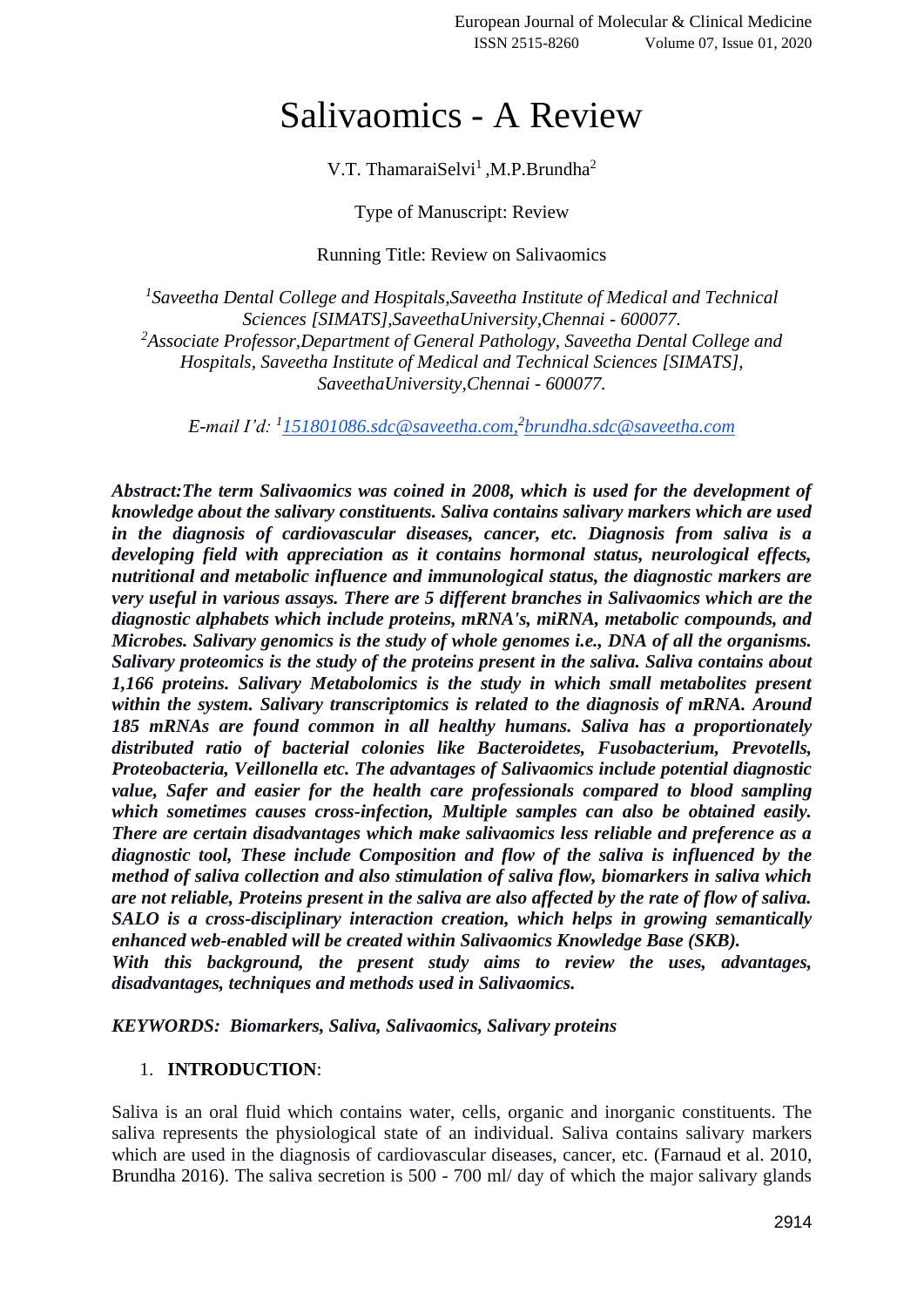# Salivaomics - A Review

V.T. ThamaraiSelvi<sup>1</sup>, M.P. Brundha<sup>2</sup>

Type of Manuscript: Review

Running Title: Review on Salivaomics

<sup>1</sup> Saveetha Dental College and Hospitals, Saveetha Institute of Medical and Technical *Sciences [SIMATS],SaveethaUniversity,Chennai - 600077. <sup>2</sup>Associate Professor,Department of General Pathology, Saveetha Dental College and Hospitals, Saveetha Institute of Medical and Technical Sciences [SIMATS], SaveethaUniversity,Chennai - 600077.*

*E-mail I'd: <sup>1</sup> [151801086.sdc@saveetha.com,](mailto:151801086.sdc@saveetha.com) 2 [brundha.sdc@saveetha.com](mailto:brundha.sdc@saveetha.com)*

*Abstract:The term Salivaomics was coined in 2008, which is used for the development of knowledge about the salivary constituents. Saliva contains salivary markers which are used in the diagnosis of cardiovascular diseases, cancer, etc. Diagnosis from saliva is a developing field with appreciation as it contains hormonal status, neurological effects, nutritional and metabolic influence and immunological status, the diagnostic markers are very useful in various assays. There are 5 different branches in Salivaomics which are the diagnostic alphabets which include proteins, mRNA's, miRNA, metabolic compounds, and Microbes. Salivary genomics is the study of whole genomes i.e., DNA of all the organisms. Salivary proteomics is the study of the proteins present in the saliva. Saliva contains about 1,166 proteins. Salivary Metabolomics is the study in which small metabolites present within the system. Salivary transcriptomics is related to the diagnosis of mRNA. Around 185 mRNAs are found common in all healthy humans. Saliva has a proportionately distributed ratio of bacterial colonies like Bacteroidetes, Fusobacterium, Prevotells, Proteobacteria, Veillonella etc. The advantages of Salivaomics include potential diagnostic value, Safer and easier for the health care professionals compared to blood sampling which sometimes causes cross-infection, Multiple samples can also be obtained easily. There are certain disadvantages which make salivaomics less reliable and preference as a diagnostic tool, These include Composition and flow of the saliva is influenced by the method of saliva collection and also stimulation of saliva flow, biomarkers in saliva which are not reliable, Proteins present in the saliva are also affected by the rate of flow of saliva. SALO is a cross-disciplinary interaction creation, which helps in growing semantically enhanced web-enabled will be created within Salivaomics Knowledge Base (SKB). With this background, the present study aims to review the uses, advantages,* 

*disadvantages, techniques and methods used in Salivaomics.*

*KEYWORDS: Biomarkers, Saliva, Salivaomics, Salivary proteins*

## 1. **INTRODUCTION**:

Saliva is an oral fluid which contains water, cells, organic and inorganic constituents. The saliva represents the physiological state of an individual. Saliva contains salivary markers which are used in the diagnosis of cardiovascular diseases, cancer, etc. [\(Farnaud et al. 2010,](https://paperpile.com/c/w4nQV1/9pcb+cY9M)  [Brundha 2016\).](https://paperpile.com/c/w4nQV1/9pcb+cY9M) The saliva secretion is 500 - 700 ml/ day of which the major salivary glands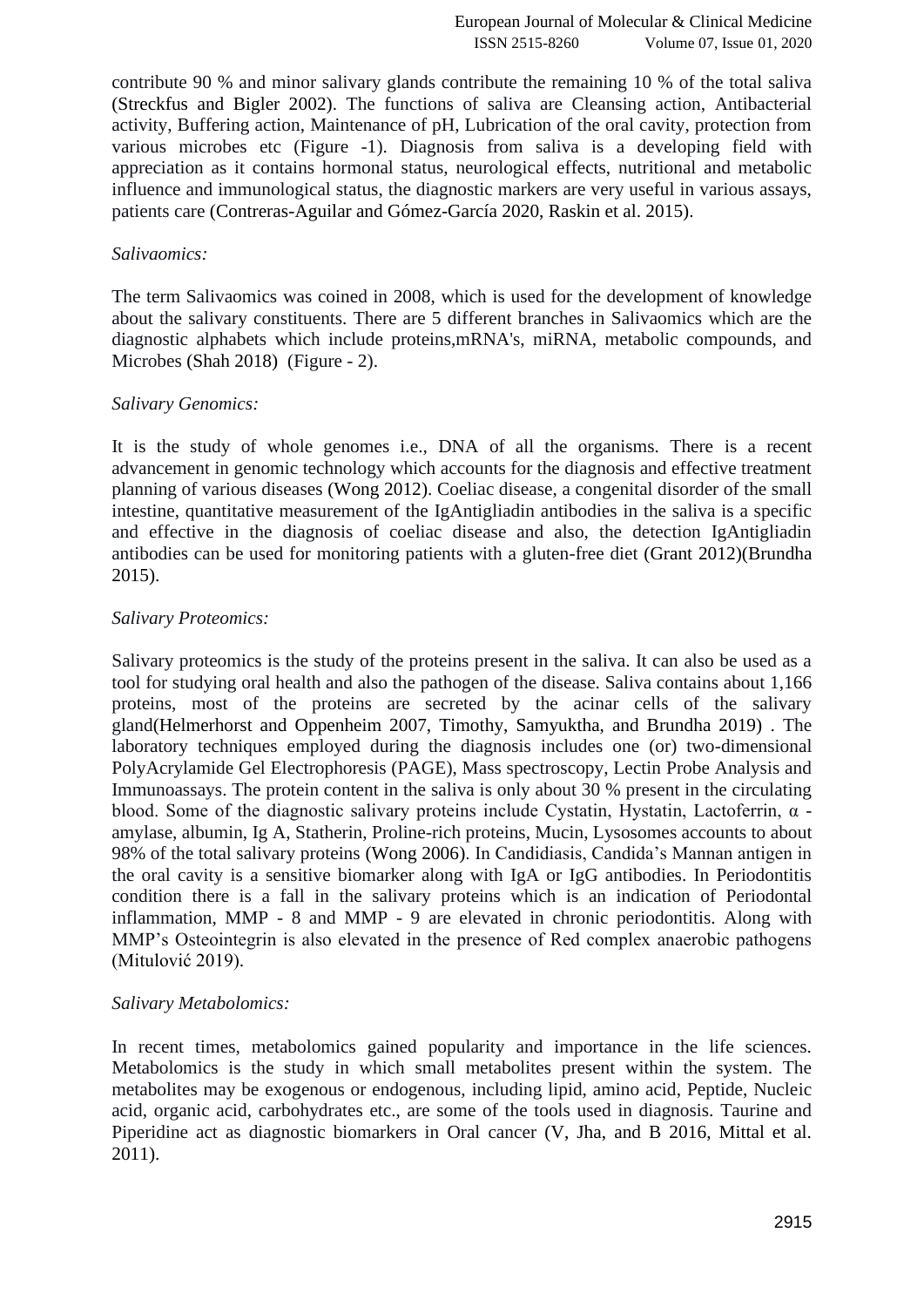contribute 90 % and minor salivary glands contribute the remaining 10 % of the total saliva [\(Streckfus and Bigler 2002\).](https://paperpile.com/c/w4nQV1/ziSJ) The functions of saliva are Cleansing action, Antibacterial activity, Buffering action, Maintenance of pH, Lubrication of the oral cavity, protection from various microbes etc (Figure -1). Diagnosis from saliva is a developing field with appreciation as it contains hormonal status, neurological effects, nutritional and metabolic influence and immunological status, the diagnostic markers are very useful in various assays, patients care [\(Contreras-Aguilar and Gómez-García 2020, Raskin et al. 2015\).](https://paperpile.com/c/w4nQV1/iZZU+bNuF)

## *Salivaomics:*

The term Salivaomics was coined in 2008, which is used for the development of knowledge about the salivary constituents. There are 5 different branches in Salivaomics which are the diagnostic alphabets which include proteins,mRNA's, miRNA, metabolic compounds, and Microbes [\(Shah 2018\)](https://paperpile.com/c/w4nQV1/Ld49) (Figure - 2).

## *Salivary Genomics:*

It is the study of whole genomes i.e., DNA of all the organisms. There is a recent advancement in genomic technology which accounts for the diagnosis and effective treatment planning of various diseases [\(Wong 2012\).](https://paperpile.com/c/w4nQV1/I0D6) Coeliac disease, a congenital disorder of the small intestine, quantitative measurement of the IgAntigliadin antibodies in the saliva is a specific and effective in the diagnosis of coeliac disease and also, the detection IgAntigliadin antibodies can be used for monitoring patients with a gluten-free diet [\(Grant 2012\)](https://paperpile.com/c/w4nQV1/M61E)[\(Brundha](https://paperpile.com/c/w4nQV1/xWmL)  [2015\).](https://paperpile.com/c/w4nQV1/xWmL)

# *Salivary Proteomics:*

Salivary proteomics is the study of the proteins present in the saliva. It can also be used as a tool for studying oral health and also the pathogen of the disease. Saliva contains about 1,166 proteins, most of the proteins are secreted by the acinar cells of the salivary glan[d\(Helmerhorst and Oppenheim 2007, Timothy, Samyuktha, and Brundha 2019\)](https://paperpile.com/c/w4nQV1/eujG+zkGc) . The laboratory techniques employed during the diagnosis includes one (or) two-dimensional PolyAcrylamide Gel Electrophoresis (PAGE), Mass spectroscopy, Lectin Probe Analysis and Immunoassays. The protein content in the saliva is only about 30 % present in the circulating blood. Some of the diagnostic salivary proteins include Cystatin, Hystatin, Lactoferrin, α amylase, albumin, Ig A, Statherin, Proline-rich proteins, Mucin, Lysosomes accounts to about 98% of the total salivary proteins [\(Wong 2006\).](https://paperpile.com/c/w4nQV1/YvC5) In Candidiasis, Candida's Mannan antigen in the oral cavity is a sensitive biomarker along with IgA or IgG antibodies. In Periodontitis condition there is a fall in the salivary proteins which is an indication of Periodontal inflammation, MMP - 8 and MMP - 9 are elevated in chronic periodontitis. Along with MMP's Osteointegrin is also elevated in the presence of Red complex anaerobic pathogens [\(Mitulović 2019\).](https://paperpile.com/c/w4nQV1/7clH)

## *Salivary Metabolomics:*

In recent times, metabolomics gained popularity and importance in the life sciences. Metabolomics is the study in which small metabolites present within the system. The metabolites may be exogenous or endogenous, including lipid, amino acid, Peptide, Nucleic acid, organic acid, carbohydrates etc., are some of the tools used in diagnosis. Taurine and Piperidine act as diagnostic biomarkers in Oral cancer [\(V, Jha, and B 2016, Mittal et al.](https://paperpile.com/c/w4nQV1/64ya+pJlk)  [2011\).](https://paperpile.com/c/w4nQV1/64ya+pJlk)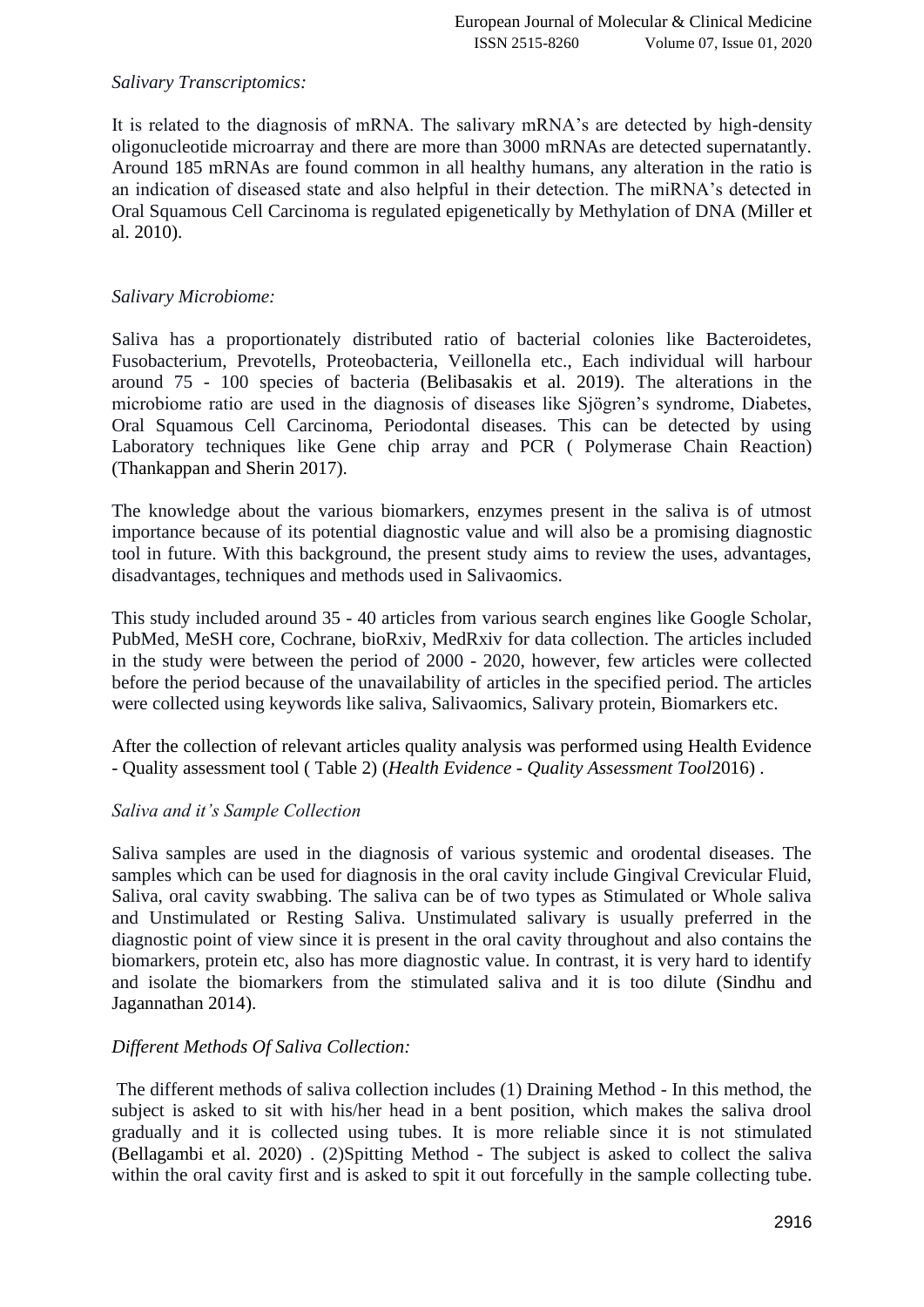# *Salivary Transcriptomics:*

It is related to the diagnosis of mRNA. The salivary mRNA's are detected by high-density oligonucleotide microarray and there are more than 3000 mRNAs are detected supernatantly. Around 185 mRNAs are found common in all healthy humans, any alteration in the ratio is an indication of diseased state and also helpful in their detection. The miRNA's detected in Oral Squamous Cell Carcinoma is regulated epigenetically by Methylation of DNA [\(Miller et](https://paperpile.com/c/w4nQV1/eZOy)  [al. 2010\).](https://paperpile.com/c/w4nQV1/eZOy)

# *Salivary Microbiome:*

Saliva has a proportionately distributed ratio of bacterial colonies like Bacteroidetes, Fusobacterium, Prevotells, Proteobacteria, Veillonella etc., Each individual will harbour around 75 - 100 species of bacteria [\(Belibasakis et al. 2019\).](https://paperpile.com/c/w4nQV1/tSCC) The alterations in the microbiome ratio are used in the diagnosis of diseases like Sjögren's syndrome, Diabetes, Oral Squamous Cell Carcinoma, Periodontal diseases. This can be detected by using Laboratory techniques like Gene chip array and PCR ( Polymerase Chain Reaction) [\(Thankappan and Sherin 2017\).](https://paperpile.com/c/w4nQV1/hXS1)

The knowledge about the various biomarkers, enzymes present in the saliva is of utmost importance because of its potential diagnostic value and will also be a promising diagnostic tool in future. With this background, the present study aims to review the uses, advantages, disadvantages, techniques and methods used in Salivaomics.

This study included around 35 - 40 articles from various search engines like Google Scholar, PubMed, MeSH core, Cochrane, bioRxiv, MedRxiv for data collection. The articles included in the study were between the period of 2000 - 2020, however, few articles were collected before the period because of the unavailability of articles in the specified period. The articles were collected using keywords like saliva, Salivaomics, Salivary protein, Biomarkers etc.

After the collection of relevant articles quality analysis was performed using Health Evidence - Quality assessment tool ( Table 2) [\(](https://paperpile.com/c/w4nQV1/cyHA)*Health Evidence - [Quality Assessment Tool](https://paperpile.com/c/w4nQV1/cyHA)*[2016\)](https://paperpile.com/c/w4nQV1/cyHA) .

## *Saliva and it's Sample Collection*

Saliva samples are used in the diagnosis of various systemic and orodental diseases. The samples which can be used for diagnosis in the oral cavity include Gingival Crevicular Fluid, Saliva, oral cavity swabbing. The saliva can be of two types as Stimulated or Whole saliva and Unstimulated or Resting Saliva. Unstimulated salivary is usually preferred in the diagnostic point of view since it is present in the oral cavity throughout and also contains the biomarkers, protein etc, also has more diagnostic value. In contrast, it is very hard to identify and isolate the biomarkers from the stimulated saliva and it is too dilute [\(Sindhu and](https://paperpile.com/c/w4nQV1/mRtQ)  [Jagannathan 2014\).](https://paperpile.com/c/w4nQV1/mRtQ)

## *Different Methods Of Saliva Collection:*

The different methods of saliva collection includes (1) Draining Method - In this method, the subject is asked to sit with his/her head in a bent position, which makes the saliva drool gradually and it is collected using tubes. It is more reliable since it is not stimulated [\(Bellagambi et al. 2020\)](https://paperpile.com/c/w4nQV1/cZzw) . (2)Spitting Method - The subject is asked to collect the saliva within the oral cavity first and is asked to spit it out forcefully in the sample collecting tube.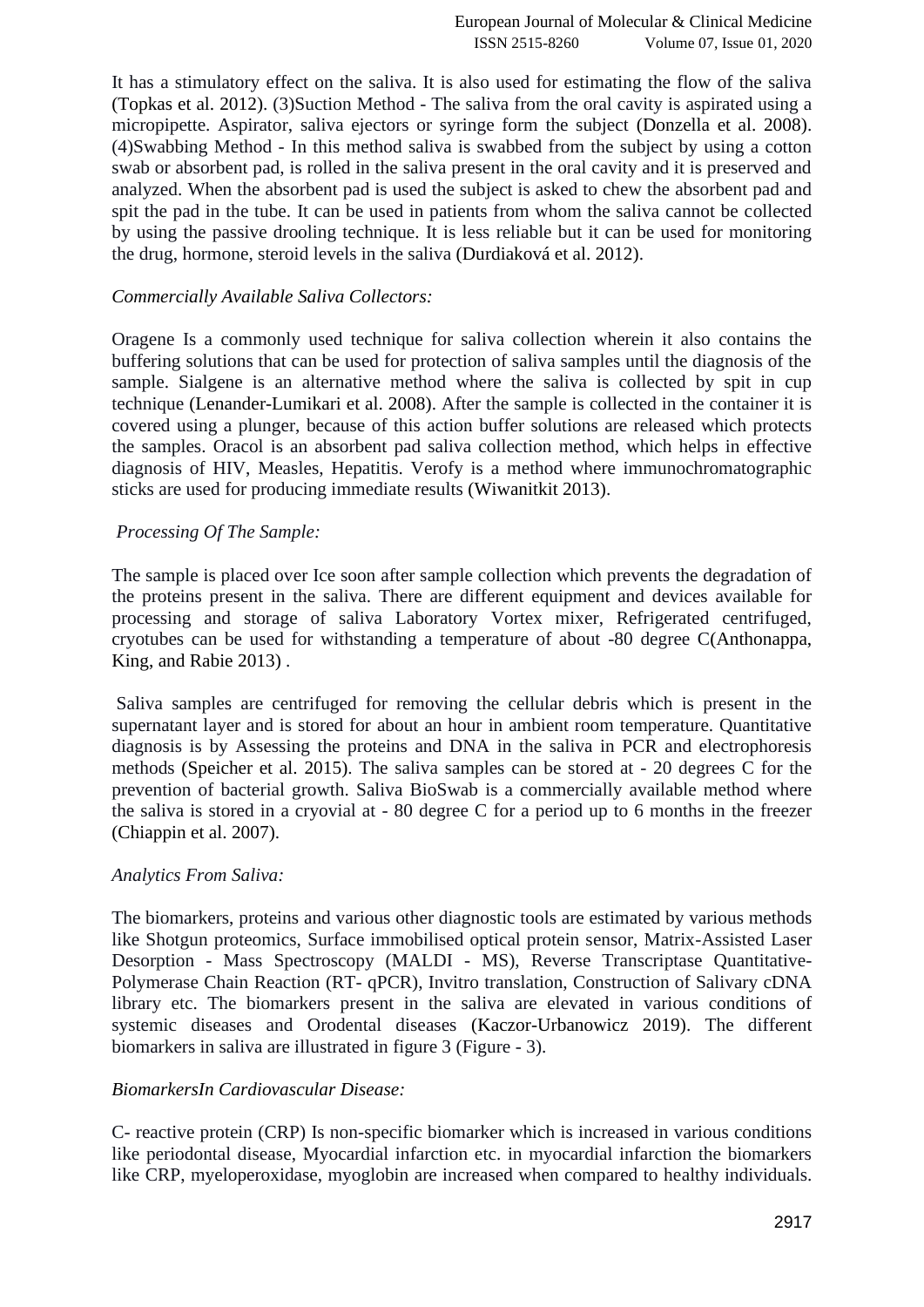It has a stimulatory effect on the saliva. It is also used for estimating the flow of the saliva [\(Topkas et al. 2012\).](https://paperpile.com/c/w4nQV1/anXK) (3)Suction Method - The saliva from the oral cavity is aspirated using a micropipette. Aspirator, saliva ejectors or syringe form the subject [\(Donzella et al. 2008\).](https://paperpile.com/c/w4nQV1/3bnT) (4)Swabbing Method - In this method saliva is swabbed from the subject by using a cotton swab or absorbent pad, is rolled in the saliva present in the oral cavity and it is preserved and analyzed. When the absorbent pad is used the subject is asked to chew the absorbent pad and spit the pad in the tube. It can be used in patients from whom the saliva cannot be collected by using the passive drooling technique. It is less reliable but it can be used for monitoring the drug, hormone, steroid levels in the saliva [\(Durdiaková et al. 2012\).](https://paperpile.com/c/w4nQV1/X2kP)

## *Commercially Available Saliva Collectors:*

Oragene Is a commonly used technique for saliva collection wherein it also contains the buffering solutions that can be used for protection of saliva samples until the diagnosis of the sample. Sialgene is an alternative method where the saliva is collected by spit in cup technique [\(Lenander-Lumikari et al. 2008\).](https://paperpile.com/c/w4nQV1/5YPF) After the sample is collected in the container it is covered using a plunger, because of this action buffer solutions are released which protects the samples. Oracol is an absorbent pad saliva collection method, which helps in effective diagnosis of HIV, Measles, Hepatitis. Verofy is a method where immunochromatographic sticks are used for producing immediate results [\(Wiwanitkit 2013\).](https://paperpile.com/c/w4nQV1/7IVG)

# *Processing Of The Sample:*

The sample is placed over Ice soon after sample collection which prevents the degradation of the proteins present in the saliva. There are different equipment and devices available for processing and storage of saliva Laboratory Vortex mixer, Refrigerated centrifuged, cryotubes can be used for withstanding a temperature of about -80 degree [C\(Anthonappa,](https://paperpile.com/c/w4nQV1/cznF)  [King, and Rabie 2013\)](https://paperpile.com/c/w4nQV1/cznF) .

Saliva samples are centrifuged for removing the cellular debris which is present in the supernatant layer and is stored for about an hour in ambient room temperature. Quantitative diagnosis is by Assessing the proteins and DNA in the saliva in PCR and electrophoresis methods [\(Speicher et al. 2015\).](https://paperpile.com/c/w4nQV1/lotD) The saliva samples can be stored at - 20 degrees C for the prevention of bacterial growth. Saliva BioSwab is a commercially available method where the saliva is stored in a cryovial at - 80 degree C for a period up to 6 months in the freezer [\(Chiappin et al. 2007\).](https://paperpile.com/c/w4nQV1/cAu3)

## *Analytics From Saliva:*

The biomarkers, proteins and various other diagnostic tools are estimated by various methods like Shotgun proteomics, Surface immobilised optical protein sensor, Matrix-Assisted Laser Desorption - Mass Spectroscopy (MALDI - MS), Reverse Transcriptase Quantitative-Polymerase Chain Reaction (RT- qPCR), Invitro translation, Construction of Salivary cDNA library etc. The biomarkers present in the saliva are elevated in various conditions of systemic diseases and Orodental diseases [\(Kaczor-Urbanowicz 2019\).](https://paperpile.com/c/w4nQV1/ityc) The different biomarkers in saliva are illustrated in figure 3 (Figure - 3).

## *BiomarkersIn Cardiovascular Disease:*

C- reactive protein (CRP) Is non-specific biomarker which is increased in various conditions like periodontal disease, Myocardial infarction etc. in myocardial infarction the biomarkers like CRP, myeloperoxidase, myoglobin are increased when compared to healthy individuals.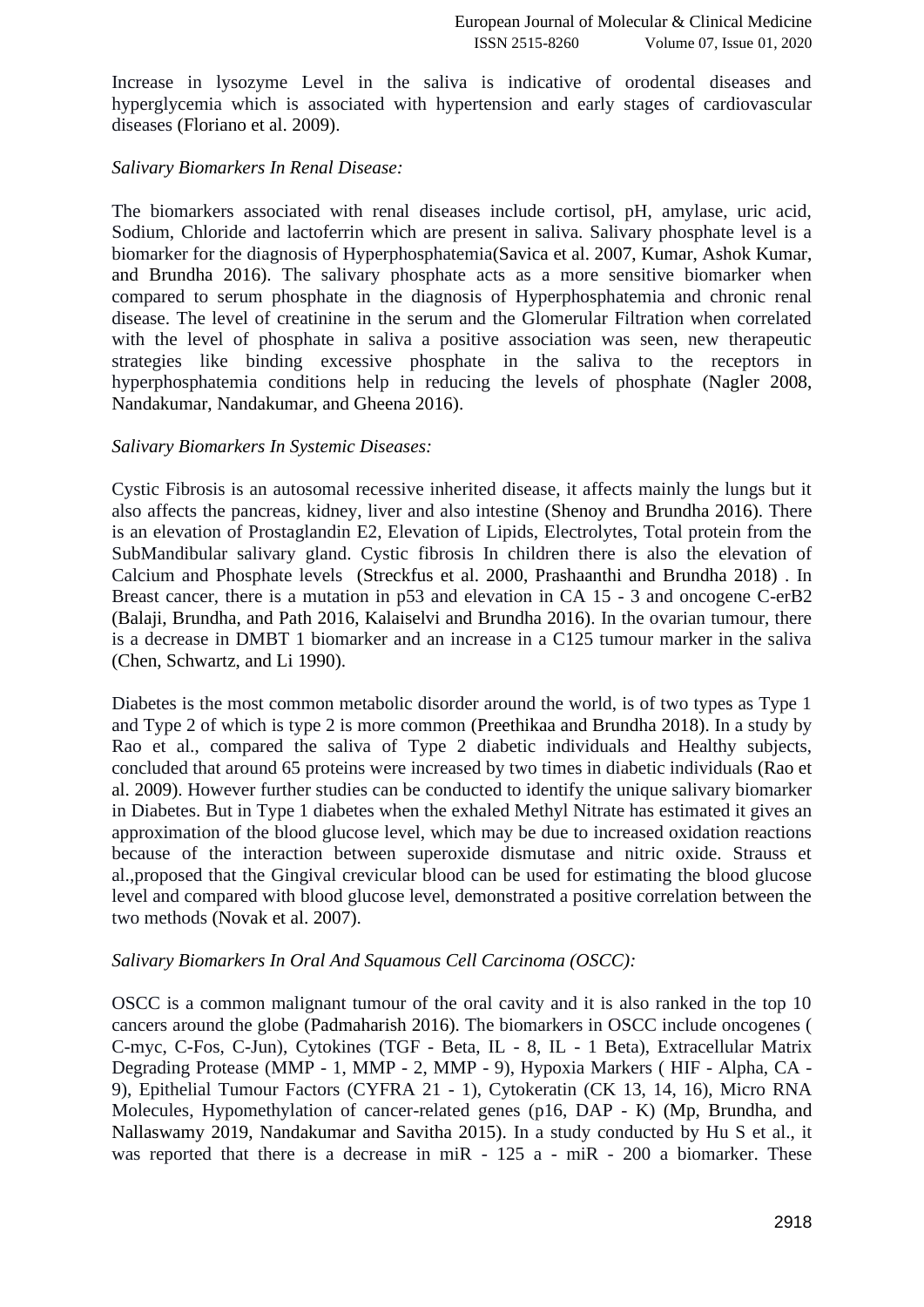Increase in lysozyme Level in the saliva is indicative of orodental diseases and hyperglycemia which is associated with hypertension and early stages of cardiovascular diseases [\(Floriano et al. 2009\).](https://paperpile.com/c/w4nQV1/n4iv)

# *Salivary Biomarkers In Renal Disease:*

The biomarkers associated with renal diseases include cortisol, pH, amylase, uric acid, Sodium, Chloride and lactoferrin which are present in saliva. Salivary phosphate level is a biomarker for the diagnosis of Hyperphosphatemi[a\(Savica et al. 2007, Kumar, Ashok Kumar,](https://paperpile.com/c/w4nQV1/hPbC+tgZH)  [and Brundha 2016\).](https://paperpile.com/c/w4nQV1/hPbC+tgZH) The salivary phosphate acts as a more sensitive biomarker when compared to serum phosphate in the diagnosis of Hyperphosphatemia and chronic renal disease. The level of creatinine in the serum and the Glomerular Filtration when correlated with the level of phosphate in saliva a positive association was seen, new therapeutic strategies like binding excessive phosphate in the saliva to the receptors in hyperphosphatemia conditions help in reducing the levels of phosphate [\(Nagler 2008,](https://paperpile.com/c/w4nQV1/eVwh+xlvo)  [Nandakumar, Nandakumar, and Gheena 2016\).](https://paperpile.com/c/w4nQV1/eVwh+xlvo)

## *Salivary Biomarkers In Systemic Diseases:*

Cystic Fibrosis is an autosomal recessive inherited disease, it affects mainly the lungs but it also affects the pancreas, kidney, liver and also intestine [\(Shenoy and Brundha 2016\).](https://paperpile.com/c/w4nQV1/LnAd) There is an elevation of Prostaglandin E2, Elevation of Lipids, Electrolytes, Total protein from the SubMandibular salivary gland. Cystic fibrosis In children there is also the elevation of Calcium and Phosphate levels [\(Streckfus et al. 2000, Prashaanthi and Brundha 2018\)](https://paperpile.com/c/w4nQV1/IAvS+C6eL) . In Breast cancer, there is a mutation in p53 and elevation in CA 15 - 3 and oncogene C-erB2 [\(Balaji, Brundha, and Path 2016, Kalaiselvi and Brundha 2016\).](https://paperpile.com/c/w4nQV1/kmz7+gYEM) In the ovarian tumour, there is a decrease in DMBT 1 biomarker and an increase in a C125 tumour marker in the saliva [\(Chen, Schwartz, and Li 1990\).](https://paperpile.com/c/w4nQV1/bM9m)

Diabetes is the most common metabolic disorder around the world, is of two types as Type 1 and Type 2 of which is type 2 is more common [\(Preethikaa and Brundha 2018\).](https://paperpile.com/c/w4nQV1/UAZR) In a study by Rao et al., compared the saliva of Type 2 diabetic individuals and Healthy subjects, concluded that around 65 proteins were increased by two times in diabetic individuals [\(Rao et](https://paperpile.com/c/w4nQV1/tisc)  [al. 2009\).](https://paperpile.com/c/w4nQV1/tisc) However further studies can be conducted to identify the unique salivary biomarker in Diabetes. But in Type 1 diabetes when the exhaled Methyl Nitrate has estimated it gives an approximation of the blood glucose level, which may be due to increased oxidation reactions because of the interaction between superoxide dismutase and nitric oxide. Strauss et al.,proposed that the Gingival crevicular blood can be used for estimating the blood glucose level and compared with blood glucose level, demonstrated a positive correlation between the two methods [\(Novak et al. 2007\).](https://paperpile.com/c/w4nQV1/nGHE)

## *Salivary Biomarkers In Oral And Squamous Cell Carcinoma (OSCC):*

OSCC is a common malignant tumour of the oral cavity and it is also ranked in the top 10 cancers around the globe [\(Padmaharish 2016\).](https://paperpile.com/c/w4nQV1/0j1h) The biomarkers in OSCC include oncogenes ( C-myc, C-Fos, C-Jun), Cytokines (TGF - Beta, IL - 8, IL - 1 Beta), Extracellular Matrix Degrading Protease (MMP - 1, MMP - 2, MMP - 9), Hypoxia Markers ( HIF - Alpha, CA - 9), Epithelial Tumour Factors (CYFRA 21 - 1), Cytokeratin (CK 13, 14, 16), Micro RNA Molecules, Hypomethylation of cancer-related genes (p16, DAP - K) [\(Mp, Brundha, and](https://paperpile.com/c/w4nQV1/yldd+I33Q)  [Nallaswamy 2019, Nandakumar and Savitha 2015\).](https://paperpile.com/c/w4nQV1/yldd+I33Q) In a study conducted by Hu S et al., it was reported that there is a decrease in miR - 125 a - miR - 200 a biomarker. These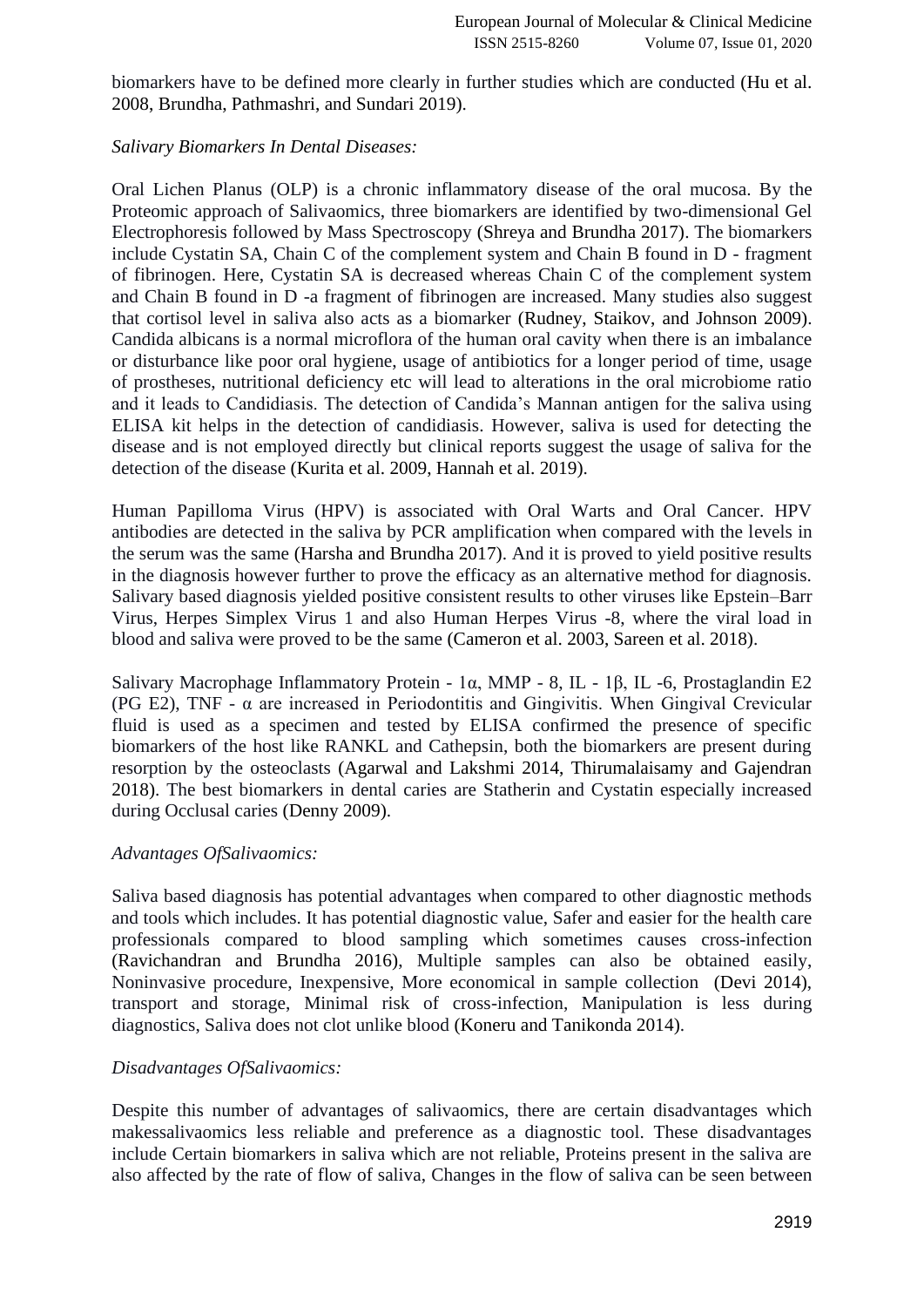biomarkers have to be defined more clearly in further studies which are conducted [\(Hu et al.](https://paperpile.com/c/w4nQV1/KqZa+NXgn)  [2008, Brundha, Pathmashri, and Sundari 2019\).](https://paperpile.com/c/w4nQV1/KqZa+NXgn)

## *Salivary Biomarkers In Dental Diseases:*

Oral Lichen Planus (OLP) is a chronic inflammatory disease of the oral mucosa. By the Proteomic approach of Salivaomics, three biomarkers are identified by two-dimensional Gel Electrophoresis followed by Mass Spectroscopy [\(Shreya and Brundha 2017\).](https://paperpile.com/c/w4nQV1/Xl9w) The biomarkers include Cystatin SA, Chain C of the complement system and Chain B found in D - fragment of fibrinogen. Here, Cystatin SA is decreased whereas Chain C of the complement system and Chain B found in D -a fragment of fibrinogen are increased. Many studies also suggest that cortisol level in saliva also acts as a biomarker [\(Rudney, Staikov, and Johnson 2009\).](https://paperpile.com/c/w4nQV1/JRjA) Candida albicans is a normal microflora of the human oral cavity when there is an imbalance or disturbance like poor oral hygiene, usage of antibiotics for a longer period of time, usage of prostheses, nutritional deficiency etc will lead to alterations in the oral microbiome ratio and it leads to Candidiasis. The detection of Candida's Mannan antigen for the saliva using ELISA kit helps in the detection of candidiasis. However, saliva is used for detecting the disease and is not employed directly but clinical reports suggest the usage of saliva for the detection of the disease [\(Kurita et al. 2009, Hannah et al. 2019\).](https://paperpile.com/c/w4nQV1/g9vh+eY2u)

Human Papilloma Virus (HPV) is associated with Oral Warts and Oral Cancer. HPV antibodies are detected in the saliva by PCR amplification when compared with the levels in the serum was the same [\(Harsha and Brundha 2017\).](https://paperpile.com/c/w4nQV1/pTq2) And it is proved to yield positive results in the diagnosis however further to prove the efficacy as an alternative method for diagnosis. Salivary based diagnosis yielded positive consistent results to other viruses like Epstein–Barr Virus, Herpes Simplex Virus 1 and also Human Herpes Virus -8, where the viral load in blood and saliva were proved to be the same [\(Cameron et al. 2003, Sareen et al. 2018\).](https://paperpile.com/c/w4nQV1/okLG+ipE4)

Salivary Macrophage Inflammatory Protein - 1α, MMP - 8, IL - 1β, IL -6, Prostaglandin E2 (PG E2), TNF -  $\alpha$  are increased in Periodontitis and Gingivitis. When Gingival Crevicular fluid is used as a specimen and tested by ELISA confirmed the presence of specific biomarkers of the host like RANKL and Cathepsin, both the biomarkers are present during resorption by the osteoclasts [\(Agarwal and Lakshmi 2014, Thirumalaisamy and Gajendran](https://paperpile.com/c/w4nQV1/EWyz+bSdF)  [2018\).](https://paperpile.com/c/w4nQV1/EWyz+bSdF) The best biomarkers in dental caries are Statherin and Cystatin especially increased during Occlusal caries [\(Denny 2009\).](https://paperpile.com/c/w4nQV1/LZdU)

## *Advantages OfSalivaomics:*

Saliva based diagnosis has potential advantages when compared to other diagnostic methods and tools which includes. It has potential diagnostic value, Safer and easier for the health care professionals compared to blood sampling which sometimes causes cross-infection [\(Ravichandran and Brundha 2016\),](https://paperpile.com/c/w4nQV1/hRGa) Multiple samples can also be obtained easily, Noninvasive procedure, Inexpensive, More economical in sample collection [\(Devi 2014\),](https://paperpile.com/c/w4nQV1/F3RP) transport and storage, Minimal risk of cross-infection, Manipulation is less during diagnostics, Saliva does not clot unlike blood [\(Koneru and Tanikonda 2014\).](https://paperpile.com/c/w4nQV1/kxKI)

## *Disadvantages OfSalivaomics:*

Despite this number of advantages of salivaomics, there are certain disadvantages which makessalivaomics less reliable and preference as a diagnostic tool. These disadvantages include Certain biomarkers in saliva which are not reliable, Proteins present in the saliva are also affected by the rate of flow of saliva, Changes in the flow of saliva can be seen between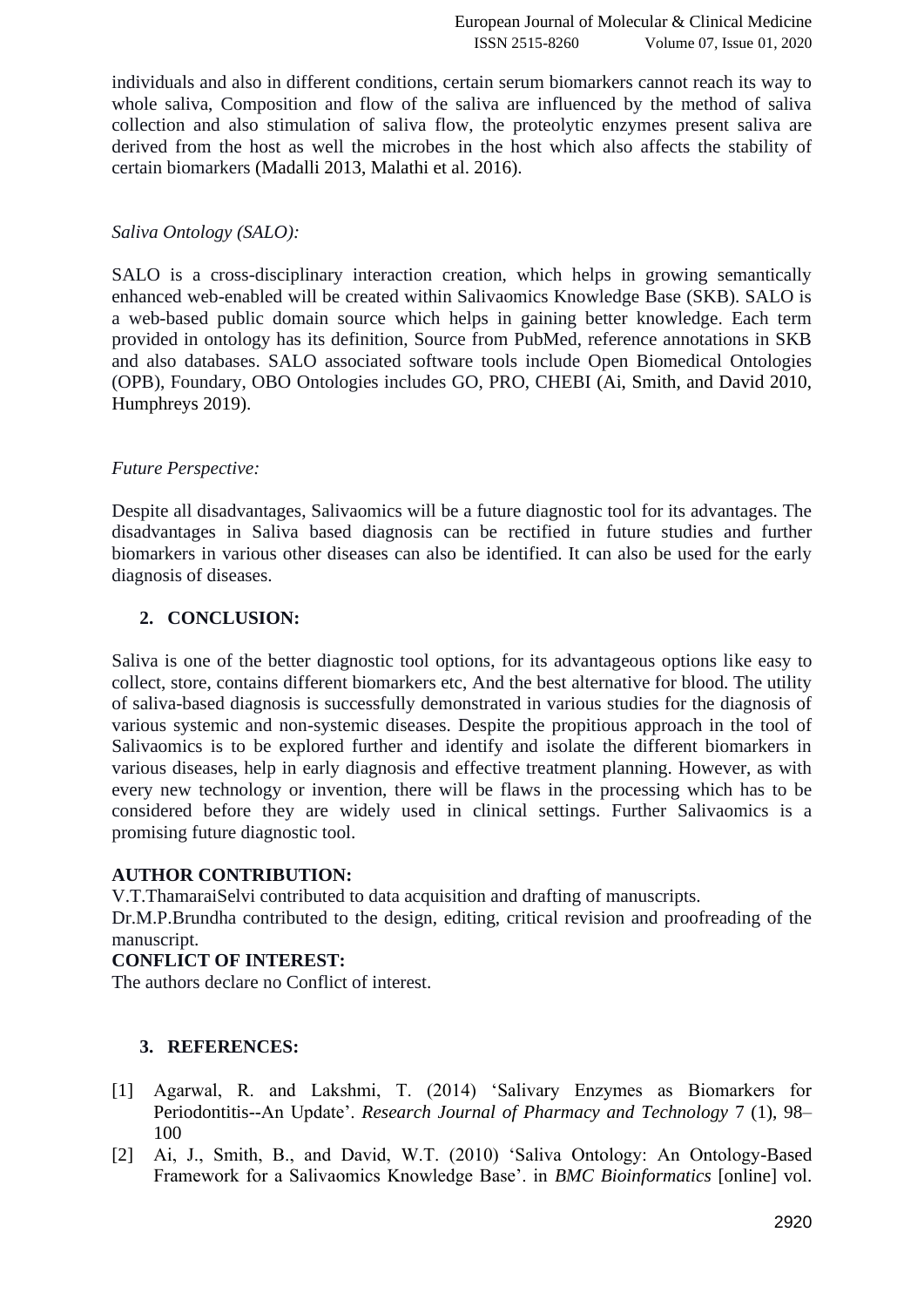individuals and also in different conditions, certain serum biomarkers cannot reach its way to whole saliva, Composition and flow of the saliva are influenced by the method of saliva collection and also stimulation of saliva flow, the proteolytic enzymes present saliva are derived from the host as well the microbes in the host which also affects the stability of certain biomarkers [\(Madalli 2013, Malathi et al. 2016\).](https://paperpile.com/c/w4nQV1/i9Wk+bWjJ)

## *Saliva Ontology (SALO):*

SALO is a cross-disciplinary interaction creation, which helps in growing semantically enhanced web-enabled will be created within Salivaomics Knowledge Base (SKB). SALO is a web-based public domain source which helps in gaining better knowledge. Each term provided in ontology has its definition, Source from PubMed, reference annotations in SKB and also databases. SALO associated software tools include Open Biomedical Ontologies (OPB), Foundary, OBO Ontologies includes GO, PRO, CHEBI [\(Ai, Smith, and David 2010,](https://paperpile.com/c/w4nQV1/3tgA+7yIY)  [Humphreys 2019\).](https://paperpile.com/c/w4nQV1/3tgA+7yIY)

# *Future Perspective:*

Despite all disadvantages, Salivaomics will be a future diagnostic tool for its advantages. The disadvantages in Saliva based diagnosis can be rectified in future studies and further biomarkers in various other diseases can also be identified. It can also be used for the early diagnosis of diseases.

# **2. CONCLUSION:**

Saliva is one of the better diagnostic tool options, for its advantageous options like easy to collect, store, contains different biomarkers etc, And the best alternative for blood. The utility of saliva-based diagnosis is successfully demonstrated in various studies for the diagnosis of various systemic and non-systemic diseases. Despite the propitious approach in the tool of Salivaomics is to be explored further and identify and isolate the different biomarkers in various diseases, help in early diagnosis and effective treatment planning. However, as with every new technology or invention, there will be flaws in the processing which has to be considered before they are widely used in clinical settings. Further Salivaomics is a promising future diagnostic tool.

## **AUTHOR CONTRIBUTION:**

V.T.ThamaraiSelvi contributed to data acquisition and drafting of manuscripts.

Dr.M.P.Brundha contributed to the design, editing, critical revision and proofreading of the manuscript.

# **CONFLICT OF INTEREST:**

The authors declare no Conflict of interest.

## **3. REFERENCES:**

- [1] [Agarwal, R. and Lakshmi, T. \(2014\) 'Salivary Enzymes as Biomarkers for](http://paperpile.com/b/w4nQV1/EWyz)  [Periodontitis--An Update'.](http://paperpile.com/b/w4nQV1/EWyz) *[Research Journal of Pharmacy and Technology](http://paperpile.com/b/w4nQV1/EWyz)* [7 \(1\), 98–](http://paperpile.com/b/w4nQV1/EWyz) [100](http://paperpile.com/b/w4nQV1/EWyz)
- [2] [Ai, J., Smith, B., and David, W.T. \(2010\) 'Saliva Ontology: An Ontology-Based](http://paperpile.com/b/w4nQV1/3tgA)  [Framework for a Salivaomics Knowledge Base'. in](http://paperpile.com/b/w4nQV1/3tgA) *[BMC Bioinformatics](http://paperpile.com/b/w4nQV1/3tgA)* [\[online\] vol.](http://paperpile.com/b/w4nQV1/3tgA)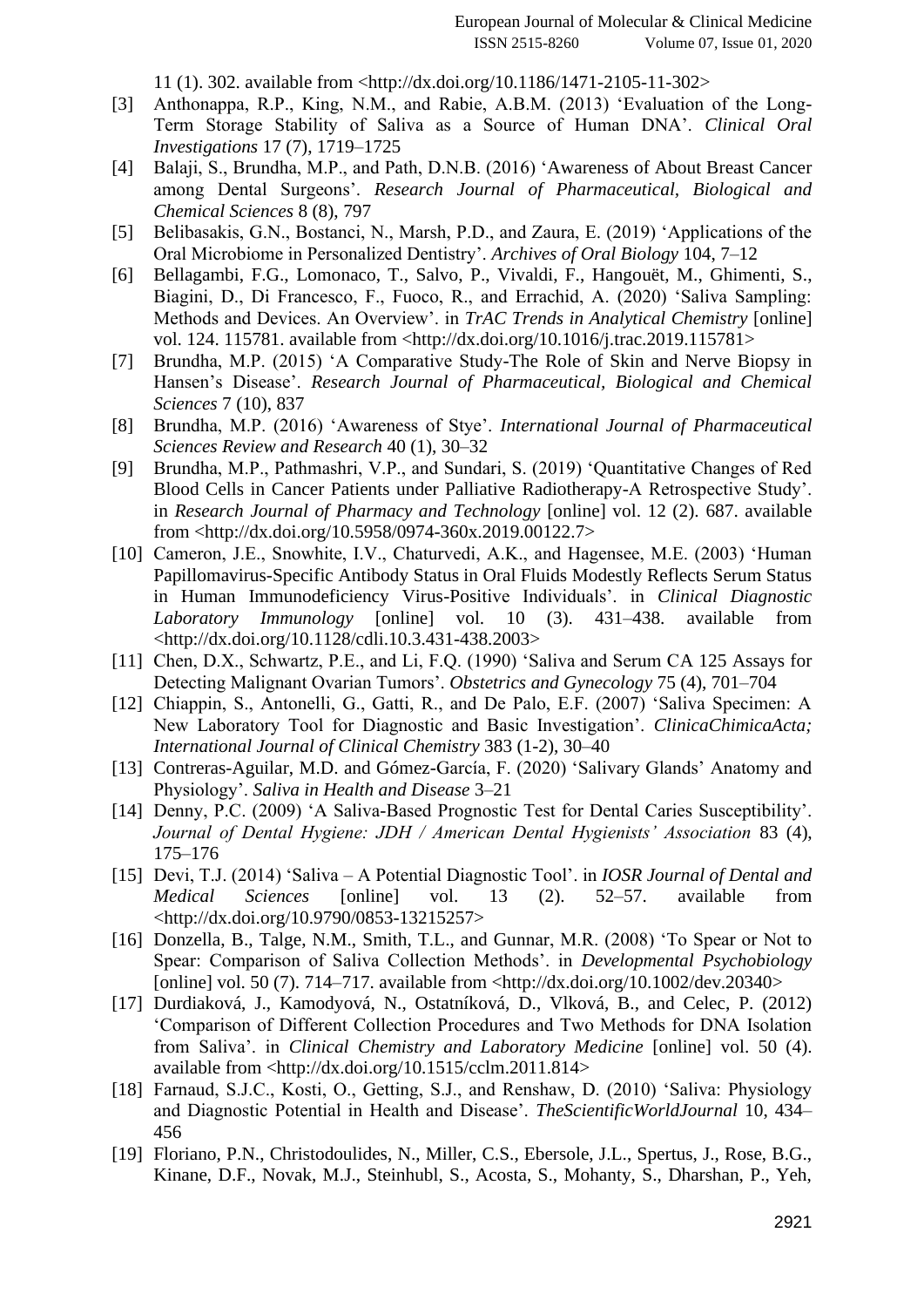[11 \(1\). 302. available from <](http://paperpile.com/b/w4nQV1/3tgA)<http://dx.doi.org/10.1186/1471-2105-11-302>[>](http://paperpile.com/b/w4nQV1/3tgA)

- [3] [Anthonappa, R.P., King, N.M., and Rabie, A.B.M. \(2013\) 'Evaluation of the Long-](http://paperpile.com/b/w4nQV1/cznF)[Term Storage Stability of Saliva as a Source of Human DNA'.](http://paperpile.com/b/w4nQV1/cznF) *[Clinical Oral](http://paperpile.com/b/w4nQV1/cznF)  [Investigations](http://paperpile.com/b/w4nQV1/cznF)* [17 \(7\), 1719–1725](http://paperpile.com/b/w4nQV1/cznF)
- [4] [Balaji, S., Brundha, M.P., and Path, D.N.B. \(2016\) 'Awareness of About Breast Cancer](http://paperpile.com/b/w4nQV1/kmz7)  [among Dental Surgeons'.](http://paperpile.com/b/w4nQV1/kmz7) *[Research Journal of Pharmaceutical, Biological and](http://paperpile.com/b/w4nQV1/kmz7)  [Chemical Sciences](http://paperpile.com/b/w4nQV1/kmz7)* [8 \(8\), 797](http://paperpile.com/b/w4nQV1/kmz7)
- [5] [Belibasakis, G.N., Bostanci, N., Marsh, P.D., and Zaura, E. \(2019\) 'Applications of the](http://paperpile.com/b/w4nQV1/tSCC)  [Oral Microbiome in Personalized Dentistry'.](http://paperpile.com/b/w4nQV1/tSCC) *[Archives of Oral Biology](http://paperpile.com/b/w4nQV1/tSCC)* [104, 7–12](http://paperpile.com/b/w4nQV1/tSCC)
- [6] [Bellagambi, F.G., Lomonaco, T., Salvo, P., Vivaldi, F., Hangouët, M., Ghimenti, S.,](http://paperpile.com/b/w4nQV1/cZzw)  [Biagini, D., Di Francesco, F., Fuoco, R., and Errachid, A. \(2020\) 'Saliva Sampling:](http://paperpile.com/b/w4nQV1/cZzw)  [Methods and Devices. An Overview'. in](http://paperpile.com/b/w4nQV1/cZzw) *[TrAC Trends in Analytical Chemistry](http://paperpile.com/b/w4nQV1/cZzw)* [\[online\]](http://paperpile.com/b/w4nQV1/cZzw)  [vol. 124. 115781. available from <](http://paperpile.com/b/w4nQV1/cZzw)<http://dx.doi.org/10.1016/j.trac.2019.115781>[>](http://paperpile.com/b/w4nQV1/cZzw)
- [7] [Brundha, M.P. \(2015\) 'A Comparative Study-The Role of Skin and Nerve Biopsy in](http://paperpile.com/b/w4nQV1/xWmL)  [Hansen's Disease'.](http://paperpile.com/b/w4nQV1/xWmL) *[Research Journal of Pharmaceutical, Biological and Chemical](http://paperpile.com/b/w4nQV1/xWmL)  [Sciences](http://paperpile.com/b/w4nQV1/xWmL)* [7 \(10\), 837](http://paperpile.com/b/w4nQV1/xWmL)
- [8] [Brundha, M.P. \(2016\) 'Awareness of Stye'.](http://paperpile.com/b/w4nQV1/cY9M) *[International Journal of Pharmaceutical](http://paperpile.com/b/w4nQV1/cY9M)  [Sciences Review and Research](http://paperpile.com/b/w4nQV1/cY9M)* [40 \(1\), 30–32](http://paperpile.com/b/w4nQV1/cY9M)
- [9] [Brundha, M.P., Pathmashri, V.P., and Sundari, S. \(2019\) 'Quantitative Changes of Red](http://paperpile.com/b/w4nQV1/NXgn)  [Blood Cells in Cancer Patients under Palliative Radiotherapy-A Retrospective Study'.](http://paperpile.com/b/w4nQV1/NXgn)  [in](http://paperpile.com/b/w4nQV1/NXgn) *[Research Journal of Pharmacy and Technology](http://paperpile.com/b/w4nQV1/NXgn)* [\[online\] vol. 12 \(2\). 687. available](http://paperpile.com/b/w4nQV1/NXgn)  [from <](http://paperpile.com/b/w4nQV1/NXgn)<http://dx.doi.org/10.5958/0974-360x.2019.00122.7>[>](http://paperpile.com/b/w4nQV1/NXgn)
- [10] [Cameron, J.E., Snowhite, I.V., Chaturvedi, A.K., and Hagensee, M.E. \(2003\) 'Human](http://paperpile.com/b/w4nQV1/okLG)  [Papillomavirus-Specific Antibody Status in Oral Fluids Modestly Reflects Serum Status](http://paperpile.com/b/w4nQV1/okLG)  [in Human Immunodeficiency Virus-Positive Individuals'. in](http://paperpile.com/b/w4nQV1/okLG) *[Clinical Diagnostic](http://paperpile.com/b/w4nQV1/okLG)  [Laboratory Immunology](http://paperpile.com/b/w4nQV1/okLG)* [\[online\] vol. 10 \(3\). 431–438. available from](http://paperpile.com/b/w4nQV1/okLG)  [<](http://paperpile.com/b/w4nQV1/okLG)<http://dx.doi.org/10.1128/cdli.10.3.431-438.2003>[>](http://paperpile.com/b/w4nQV1/okLG)
- [11] Chen, D.X., Schwartz, P.E., and Li, F.Q. (1990) 'Saliva and Serum CA 125 Assays for [Detecting Malignant Ovarian Tumors'.](http://paperpile.com/b/w4nQV1/bM9m) *[Obstetrics and Gynecology](http://paperpile.com/b/w4nQV1/bM9m)* [75 \(4\), 701–704](http://paperpile.com/b/w4nQV1/bM9m)
- [12] Chiappin, S., Antonelli, G., Gatti, R., and De Palo, E.F. (2007) 'Saliva Specimen: A [New Laboratory Tool for Diagnostic and Basic Investigation'.](http://paperpile.com/b/w4nQV1/cAu3) *[ClinicaChimicaActa;](http://paperpile.com/b/w4nQV1/cAu3)  [International Journal of Clinical Chemistry](http://paperpile.com/b/w4nQV1/cAu3)* [383 \(1-2\), 30–40](http://paperpile.com/b/w4nQV1/cAu3)
- [13] Contreras-Aguilar, M.D. and Gómez-García, F. (2020) 'Salivary Glands' Anatomy and [Physiology'.](http://paperpile.com/b/w4nQV1/iZZU) *[Saliva in Health and Disease](http://paperpile.com/b/w4nQV1/iZZU)* [3–21](http://paperpile.com/b/w4nQV1/iZZU)
- [14] [Denny, P.C. \(2009\) 'A Saliva-Based Prognostic Test for Dental Caries Susceptibility'.](http://paperpile.com/b/w4nQV1/LZdU)  *[Journal of Dental Hygiene: JDH / American Dental Hygienists' Association](http://paperpile.com/b/w4nQV1/LZdU)* [83 \(4\),](http://paperpile.com/b/w4nQV1/LZdU)  [175–176](http://paperpile.com/b/w4nQV1/LZdU)
- [15] Devi, T.J. (2014) 'Saliva [A Potential Diagnostic Tool'. in](http://paperpile.com/b/w4nQV1/F3RP) *[IOSR Journal of Dental and](http://paperpile.com/b/w4nQV1/F3RP)  [Medical Sciences](http://paperpile.com/b/w4nQV1/F3RP)* [\[online\] vol. 13 \(2\). 52–57. available from](http://paperpile.com/b/w4nQV1/F3RP) [<](http://paperpile.com/b/w4nQV1/F3RP)<http://dx.doi.org/10.9790/0853-13215257>[>](http://paperpile.com/b/w4nQV1/F3RP)
- [16] Donzella, B., Talge, N.M., Smith, T.L., and Gunnar, M.R. (2008) 'To Spear or Not to [Spear: Comparison of Saliva Collection Methods'. in](http://paperpile.com/b/w4nQV1/3bnT) *[Developmental Psychobiology](http://paperpile.com/b/w4nQV1/3bnT)* [\[online\] vol. 50 \(7\). 714–717.](http://paperpile.com/b/w4nQV1/3bnT) available from [<http://dx.doi.org/10.1002/dev.20340](http://dx.doi.org/10.1002/dev.20340)[>](http://paperpile.com/b/w4nQV1/3bnT)
- [17] [Durdiaková, J., Kamodyová, N., Ostatníková, D., Vlková, B., and Celec, P. \(2012\)](http://paperpile.com/b/w4nQV1/X2kP)  ['Comparison of Different Collection Procedures and Two Methods for DNA Isolation](http://paperpile.com/b/w4nQV1/X2kP)  [from Saliva'. in](http://paperpile.com/b/w4nQV1/X2kP) *[Clinical Chemistry and Laboratory Medicine](http://paperpile.com/b/w4nQV1/X2kP)* [\[online\] vol. 50 \(4\).](http://paperpile.com/b/w4nQV1/X2kP)  [available from <](http://paperpile.com/b/w4nQV1/X2kP)<http://dx.doi.org/10.1515/cclm.2011.814>[>](http://paperpile.com/b/w4nQV1/X2kP)
- [18] Farnaud, S.J.C., Kosti, O., Getting, S.J., and Renshaw, D. (2010) 'Saliva: Physiology [and Diagnostic Potential in Health and Disease'.](http://paperpile.com/b/w4nQV1/9pcb) *[TheScientificWorldJournal](http://paperpile.com/b/w4nQV1/9pcb)* [10, 434–](http://paperpile.com/b/w4nQV1/9pcb) [456](http://paperpile.com/b/w4nQV1/9pcb)
- [19] [Floriano, P.N., Christodoulides, N., Miller, C.S., Ebersole, J.L., Spertus, J., Rose, B.G.,](http://paperpile.com/b/w4nQV1/n4iv)  [Kinane, D.F., Novak, M.J., Steinhubl, S., Acosta, S., Mohanty, S., Dharshan, P., Yeh,](http://paperpile.com/b/w4nQV1/n4iv)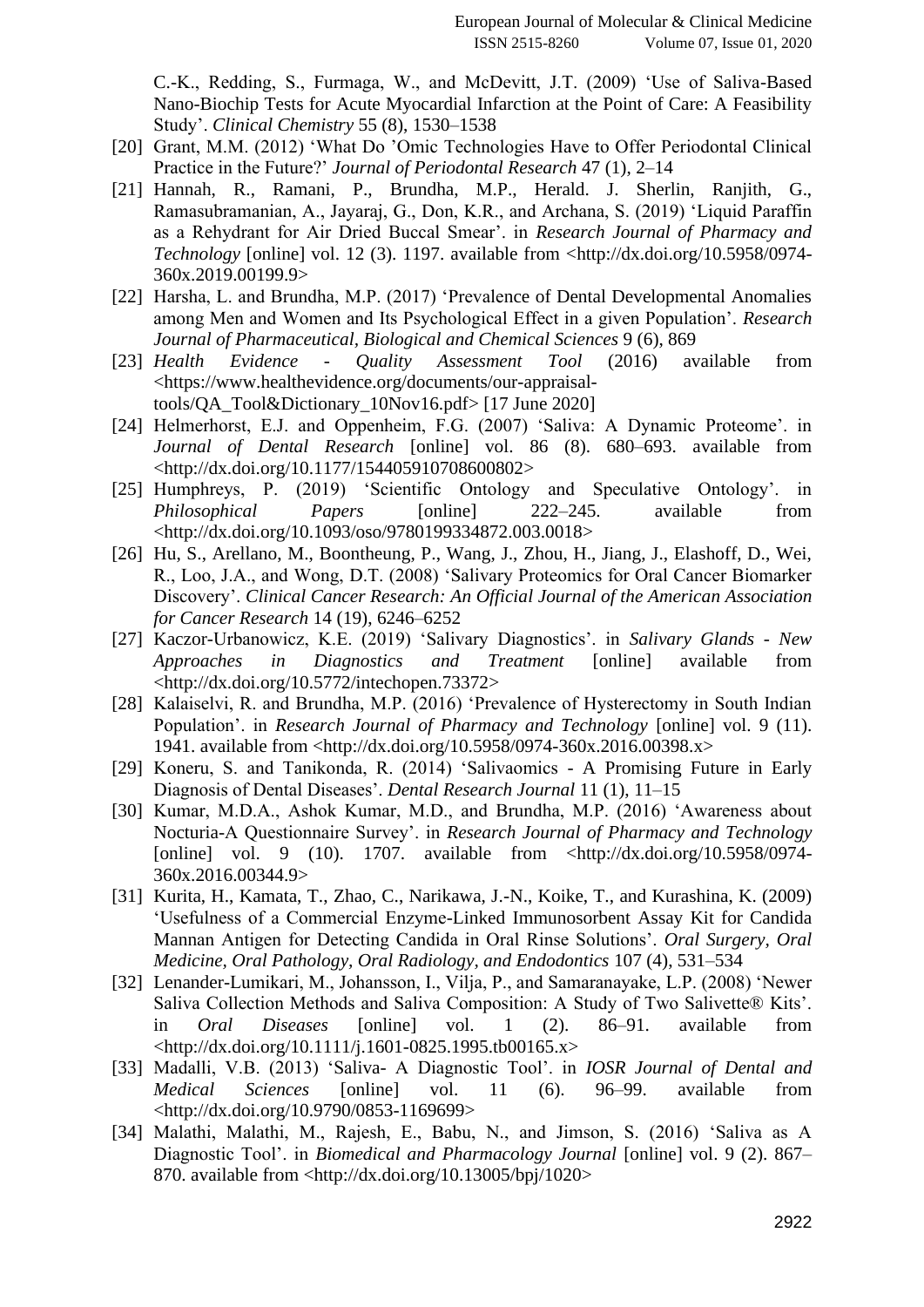[C.-K., Redding, S., Furmaga, W., and McDevitt, J.T. \(2009\) 'Use of Saliva-Based](http://paperpile.com/b/w4nQV1/n4iv)  [Nano-Biochip Tests for Acute Myocardial Infarction at the Point of Care: A Feasibility](http://paperpile.com/b/w4nQV1/n4iv)  [Study'.](http://paperpile.com/b/w4nQV1/n4iv) *[Clinical Chemistry](http://paperpile.com/b/w4nQV1/n4iv)* [55 \(8\), 1530–1538](http://paperpile.com/b/w4nQV1/n4iv)

- [20] [Grant, M.M. \(2012\) 'What Do 'Omic Technologies Have to Offer Periodontal Clinical](http://paperpile.com/b/w4nQV1/M61E)  [Practice in the Future?'](http://paperpile.com/b/w4nQV1/M61E) *[Journal of Periodontal Research](http://paperpile.com/b/w4nQV1/M61E)* [47 \(1\), 2–14](http://paperpile.com/b/w4nQV1/M61E)
- [21] [Hannah, R., Ramani, P., Brundha, M.P., Herald. J. Sherlin, Ranjith, G.,](http://paperpile.com/b/w4nQV1/eY2u)  [Ramasubramanian, A., Jayaraj, G., Don, K.R., and Archana, S. \(2019\) 'Liquid Paraffin](http://paperpile.com/b/w4nQV1/eY2u)  [as a Rehydrant for Air Dried Buccal Smear'. in](http://paperpile.com/b/w4nQV1/eY2u) *[Research Journal of Pharmacy and](http://paperpile.com/b/w4nQV1/eY2u)  [Technology](http://paperpile.com/b/w4nQV1/eY2u)* [\[online\] vol. 12 \(3\). 1197. available from <](http://paperpile.com/b/w4nQV1/eY2u)[http://dx.doi.org/10.5958/0974-](http://dx.doi.org/10.5958/0974-360x.2019.00199.9) [360x.2019.00199.9](http://dx.doi.org/10.5958/0974-360x.2019.00199.9)[>](http://paperpile.com/b/w4nQV1/eY2u)
- [22] [Harsha, L. and Brundha, M.P. \(2017\) 'Prevalence of Dental Developmental Anomalies](http://paperpile.com/b/w4nQV1/pTq2)  [among Men and Women and Its Psychological Effect in a given Population'.](http://paperpile.com/b/w4nQV1/pTq2) *[Research](http://paperpile.com/b/w4nQV1/pTq2)  [Journal of Pharmaceutical, Biological and Chemical Sciences](http://paperpile.com/b/w4nQV1/pTq2)* [9 \(6\), 869](http://paperpile.com/b/w4nQV1/pTq2)
- [23] *Health Evidence - [Quality Assessment Tool](http://paperpile.com/b/w4nQV1/cyHA)* [\(2016\) available from](http://paperpile.com/b/w4nQV1/cyHA)  [<](http://paperpile.com/b/w4nQV1/cyHA)[https://www.healthevidence.org/documents/our-appraisal](https://www.healthevidence.org/documents/our-appraisal-tools/QA_Tool&Dictionary_10Nov16.pdf)[tools/QA\\_Tool&Dictionary\\_10Nov16.pdf](https://www.healthevidence.org/documents/our-appraisal-tools/QA_Tool&Dictionary_10Nov16.pdf)[> \[17 June 2020\]](http://paperpile.com/b/w4nQV1/cyHA)
- [24] [Helmerhorst, E.J. and Oppenheim, F.G. \(2007\) 'Saliva: A Dynamic Proteome'. in](http://paperpile.com/b/w4nQV1/eujG)  *[Journal of Dental Research](http://paperpile.com/b/w4nQV1/eujG)* [\[online\] vol. 86 \(8\). 680–693. available from](http://paperpile.com/b/w4nQV1/eujG)  [<](http://paperpile.com/b/w4nQV1/eujG)<http://dx.doi.org/10.1177/154405910708600802>[>](http://paperpile.com/b/w4nQV1/eujG)
- [25] [Humphreys, P. \(2019\) 'Scientific Ontology and Speculative Ontology'. in](http://paperpile.com/b/w4nQV1/7yIY)  *[Philosophical Papers](http://paperpile.com/b/w4nQV1/7yIY)* [\[online\] 222–245. available from](http://paperpile.com/b/w4nQV1/7yIY)  [<](http://paperpile.com/b/w4nQV1/7yIY)<http://dx.doi.org/10.1093/oso/9780199334872.003.0018>[>](http://paperpile.com/b/w4nQV1/7yIY)
- [26] [Hu, S., Arellano, M., Boontheung, P., Wang, J., Zhou, H., Jiang, J., Elashoff, D., Wei,](http://paperpile.com/b/w4nQV1/KqZa)  [R., Loo, J.A., and Wong, D.T. \(2008\) 'Salivary Proteomics for Oral Cancer Biomarker](http://paperpile.com/b/w4nQV1/KqZa)  [Discovery'.](http://paperpile.com/b/w4nQV1/KqZa) *[Clinical Cancer Research: An Official Journal of the American Association](http://paperpile.com/b/w4nQV1/KqZa)  [for Cancer Research](http://paperpile.com/b/w4nQV1/KqZa)* [14 \(19\), 6246–6252](http://paperpile.com/b/w4nQV1/KqZa)
- [27] [Kaczor-Urbanowicz, K.E. \(2019\) 'Salivary Diagnostics'. in](http://paperpile.com/b/w4nQV1/ityc) *[Salivary Glands -](http://paperpile.com/b/w4nQV1/ityc) New [Approaches in Diagnostics and Treatment](http://paperpile.com/b/w4nQV1/ityc)* [\[online\] available from](http://paperpile.com/b/w4nQV1/ityc)  [<](http://paperpile.com/b/w4nQV1/ityc)<http://dx.doi.org/10.5772/intechopen.73372>[>](http://paperpile.com/b/w4nQV1/ityc)
- [28] Kalaiselvi, R. and Brundha, M.P. (2016) 'Prevalence of Hysterectomy in South Indian [Population'. in](http://paperpile.com/b/w4nQV1/gYEM) *[Research Journal of Pharmacy and Technology](http://paperpile.com/b/w4nQV1/gYEM)* [\[online\] vol. 9 \(11\).](http://paperpile.com/b/w4nQV1/gYEM)  [1941. available from <](http://paperpile.com/b/w4nQV1/gYEM)<http://dx.doi.org/10.5958/0974-360x.2016.00398.x>[>](http://paperpile.com/b/w4nQV1/gYEM)
- [29] [Koneru, S. and Tanikonda, R. \(2014\) 'Salivaomics -](http://paperpile.com/b/w4nQV1/kxKI) A Promising Future in Early [Diagnosis of Dental Diseases'.](http://paperpile.com/b/w4nQV1/kxKI) *[Dental Research Journal](http://paperpile.com/b/w4nQV1/kxKI)* [11 \(1\), 11–15](http://paperpile.com/b/w4nQV1/kxKI)
- [30] [Kumar, M.D.A., Ashok Kumar, M.D., and Brundha, M.P. \(2016\) 'Awareness about](http://paperpile.com/b/w4nQV1/tgZH)  [Nocturia-A Questionnaire Survey'. in](http://paperpile.com/b/w4nQV1/tgZH) *[Research Journal of Pharmacy and Technology](http://paperpile.com/b/w4nQV1/tgZH)* [online] vol. 9 (10). 1707. available from  $\langle \frac{http://dx.doi.org/10.5958/0974-}{http://dx.doi.org/10.5958/0974-}$  $\langle \frac{http://dx.doi.org/10.5958/0974-}{http://dx.doi.org/10.5958/0974-}$  $\langle \frac{http://dx.doi.org/10.5958/0974-}{http://dx.doi.org/10.5958/0974-}$ [360x.2016.00344.9](http://dx.doi.org/10.5958/0974-360x.2016.00344.9)[>](http://paperpile.com/b/w4nQV1/tgZH)
- [31] [Kurita, H., Kamata, T., Zhao, C., Narikawa, J.-N., Koike, T., and Kurashina, K. \(2009\)](http://paperpile.com/b/w4nQV1/g9vh)  ['Usefulness of a Commercial Enzyme-Linked Immunosorbent Assay Kit for Candida](http://paperpile.com/b/w4nQV1/g9vh)  [Mannan Antigen for Detecting Candida in Oral Rinse Solutions'.](http://paperpile.com/b/w4nQV1/g9vh) *[Oral Surgery, Oral](http://paperpile.com/b/w4nQV1/g9vh)  [Medicine, Oral Pathology, Oral Radiology, and Endodontics](http://paperpile.com/b/w4nQV1/g9vh)* [107 \(4\), 531–534](http://paperpile.com/b/w4nQV1/g9vh)
- [32] [Lenander-Lumikari, M., Johansson, I., Vilja, P., and Samaranayake, L.P. \(2008\) 'Newer](http://paperpile.com/b/w4nQV1/5YPF)  [Saliva Collection Methods and Saliva Composition: A Study of Two Salivette® Kits'.](http://paperpile.com/b/w4nQV1/5YPF)  [in](http://paperpile.com/b/w4nQV1/5YPF) *[Oral Diseases](http://paperpile.com/b/w4nQV1/5YPF)* [\[online\] vol. 1 \(2\). 86–91. available from](http://paperpile.com/b/w4nQV1/5YPF)   $\lt$ <http://dx.doi.org/10.1111/j.1601-0825.1995.tb00165.x>[>](http://paperpile.com/b/w4nQV1/5YPF)
- [33] [Madalli, V.B. \(2013\) 'Saliva-](http://paperpile.com/b/w4nQV1/i9Wk) A Diagnostic Tool'. in *[IOSR Journal of Dental and](http://paperpile.com/b/w4nQV1/i9Wk)  [Medical Sciences](http://paperpile.com/b/w4nQV1/i9Wk)* [\[online\] vol. 11 \(6\). 96–99. available from](http://paperpile.com/b/w4nQV1/i9Wk)  [<](http://paperpile.com/b/w4nQV1/i9Wk)<http://dx.doi.org/10.9790/0853-1169699>[>](http://paperpile.com/b/w4nQV1/i9Wk)
- [34] [Malathi, Malathi, M., Rajesh, E., Babu, N., and Jimson, S. \(2016\) 'Saliva as A](http://paperpile.com/b/w4nQV1/bWjJ)  [Diagnostic Tool'. in](http://paperpile.com/b/w4nQV1/bWjJ) *[Biomedical and Pharmacology Journal](http://paperpile.com/b/w4nQV1/bWjJ)* [\[online\] vol. 9 \(2\). 867–](http://paperpile.com/b/w4nQV1/bWjJ) [870. available from <](http://paperpile.com/b/w4nQV1/bWjJ)<http://dx.doi.org/10.13005/bpj/1020>[>](http://paperpile.com/b/w4nQV1/bWjJ)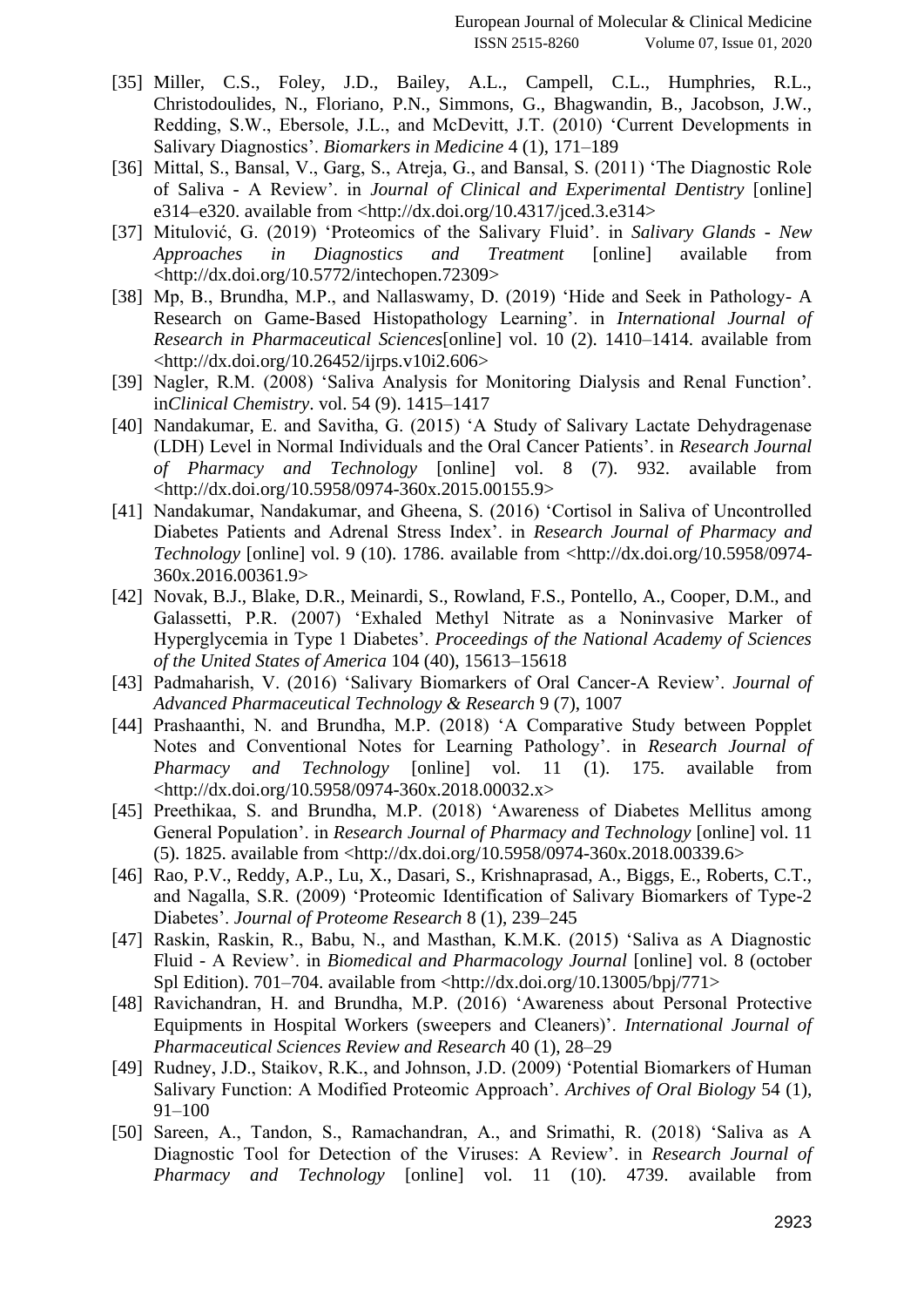- [35] [Miller, C.S., Foley, J.D., Bailey, A.L., Campell, C.L., Humphries, R.L.,](http://paperpile.com/b/w4nQV1/eZOy)  [Christodoulides, N., Floriano, P.N., Simmons, G., Bhagwandin, B., Jacobson, J.W.,](http://paperpile.com/b/w4nQV1/eZOy)  [Redding, S.W., Ebersole, J.L., and McDevitt, J.T. \(2010\) 'Current Developments in](http://paperpile.com/b/w4nQV1/eZOy)  [Salivary Diagnostics'.](http://paperpile.com/b/w4nQV1/eZOy) *[Biomarkers in Medicine](http://paperpile.com/b/w4nQV1/eZOy)* [4 \(1\), 171–189](http://paperpile.com/b/w4nQV1/eZOy)
- [36] Mittal, S., Bansal, V., Garg, S., Atreja, G., and Bansal, S. (2011) 'The Diagnostic Role of Saliva - [A Review'. in](http://paperpile.com/b/w4nQV1/pJlk) *[Journal of Clinical and Experimental Dentistry](http://paperpile.com/b/w4nQV1/pJlk)* [\[online\]](http://paperpile.com/b/w4nQV1/pJlk)  [e314–e320. available from <](http://paperpile.com/b/w4nQV1/pJlk)<http://dx.doi.org/10.4317/jced.3.e314>[>](http://paperpile.com/b/w4nQV1/pJlk)
- [37] [Mitulović, G. \(2019\) 'Proteomics of the Salivary Fluid'. in](http://paperpile.com/b/w4nQV1/7clH) *[Salivary Glands -](http://paperpile.com/b/w4nQV1/7clH) New [Approaches in Diagnostics and Treatment](http://paperpile.com/b/w4nQV1/7clH)* [\[online\] available from](http://paperpile.com/b/w4nQV1/7clH)  [<](http://paperpile.com/b/w4nQV1/7clH)<http://dx.doi.org/10.5772/intechopen.72309>[>](http://paperpile.com/b/w4nQV1/7clH)
- [38] [Mp, B., Brundha, M.P., and Nallaswamy, D. \(2019\) 'Hide and Seek in Pathology-](http://paperpile.com/b/w4nQV1/yldd) A [Research on Game-Based Histopathology Learning'. in](http://paperpile.com/b/w4nQV1/yldd) *[International Journal of](http://paperpile.com/b/w4nQV1/yldd)  [Research in Pharmaceutical Sciences](http://paperpile.com/b/w4nQV1/yldd)*[\[online\] vol. 10 \(2\). 1410–1414. available from](http://paperpile.com/b/w4nQV1/yldd)   $\langle \frac{http://dx.doi.org/10.26452/ijrps.v10i2.606>$  $\langle \frac{http://dx.doi.org/10.26452/ijrps.v10i2.606>$  $\langle \frac{http://dx.doi.org/10.26452/ijrps.v10i2.606>$
- [39] [Nagler, R.M. \(2008\) 'Saliva Analysis for Monitoring Dialysis and Renal Function'.](http://paperpile.com/b/w4nQV1/eVwh)  [in](http://paperpile.com/b/w4nQV1/eVwh)*[Clinical Chemistry](http://paperpile.com/b/w4nQV1/eVwh)*[. vol. 54 \(9\). 1415–1417](http://paperpile.com/b/w4nQV1/eVwh)
- [40] Nandakumar, E. and Savitha, G. (2015) 'A Study of Salivary Lactate Dehydragenase [\(LDH\) Level in Normal Individuals and the Oral Cancer Patients'. in](http://paperpile.com/b/w4nQV1/I33Q) *[Research Journal](http://paperpile.com/b/w4nQV1/I33Q)  [of Pharmacy and Technology](http://paperpile.com/b/w4nQV1/I33Q)* [\[online\] vol. 8 \(7\). 932. available from](http://paperpile.com/b/w4nQV1/I33Q)  [<](http://paperpile.com/b/w4nQV1/I33Q)<http://dx.doi.org/10.5958/0974-360x.2015.00155.9>[>](http://paperpile.com/b/w4nQV1/I33Q)
- [41] [Nandakumar, Nandakumar, and Gheena, S. \(2016\) 'Cortisol in Saliva of Uncontrolled](http://paperpile.com/b/w4nQV1/xlvo)  [Diabetes Patients and Adrenal Stress Index'. in](http://paperpile.com/b/w4nQV1/xlvo) *[Research Journal of Pharmacy and](http://paperpile.com/b/w4nQV1/xlvo)  [Technology](http://paperpile.com/b/w4nQV1/xlvo)* [\[online\] vol. 9 \(10\). 1786. available from <](http://paperpile.com/b/w4nQV1/xlvo)[http://dx.doi.org/10.5958/0974-](http://dx.doi.org/10.5958/0974-360x.2016.00361.9) [360x.2016.00361.9](http://dx.doi.org/10.5958/0974-360x.2016.00361.9)[>](http://paperpile.com/b/w4nQV1/xlvo)
- [42] [Novak, B.J., Blake, D.R., Meinardi, S., Rowland, F.S., Pontello, A., Cooper, D.M., and](http://paperpile.com/b/w4nQV1/nGHE)  [Galassetti, P.R. \(2007\) 'Exhaled Methyl Nitrate as a Noninvasive](http://paperpile.com/b/w4nQV1/nGHE) Marker of [Hyperglycemia in Type 1 Diabetes'.](http://paperpile.com/b/w4nQV1/nGHE) *[Proceedings of the National Academy of Sciences](http://paperpile.com/b/w4nQV1/nGHE)  [of the United States of America](http://paperpile.com/b/w4nQV1/nGHE)* [104 \(40\), 15613–15618](http://paperpile.com/b/w4nQV1/nGHE)
- [43] [Padmaharish, V. \(2016\) 'Salivary Biomarkers of Oral Cancer-A Review'.](http://paperpile.com/b/w4nQV1/0j1h) *[Journal of](http://paperpile.com/b/w4nQV1/0j1h)  [Advanced Pharmaceutical Technology & Research](http://paperpile.com/b/w4nQV1/0j1h)* [9 \(7\), 1007](http://paperpile.com/b/w4nQV1/0j1h)
- [44] [Prashaanthi, N. and Brundha, M.P. \(2018\) 'A Comparative Study between Popplet](http://paperpile.com/b/w4nQV1/C6eL)  [Notes and Conventional Notes for Learning Pathology'. in](http://paperpile.com/b/w4nQV1/C6eL) *[Research Journal of](http://paperpile.com/b/w4nQV1/C6eL)  [Pharmacy and Technology](http://paperpile.com/b/w4nQV1/C6eL)* [\[online\] vol. 11 \(1\). 175. available from](http://paperpile.com/b/w4nQV1/C6eL)  [<](http://paperpile.com/b/w4nQV1/C6eL)<http://dx.doi.org/10.5958/0974-360x.2018.00032.x>[>](http://paperpile.com/b/w4nQV1/C6eL)
- [45] Preethikaa, S. and Brundha, M.P. (2018) 'Awareness of Diabetes Mellitus among [General Population'. in](http://paperpile.com/b/w4nQV1/UAZR) *[Research Journal of Pharmacy and Technology](http://paperpile.com/b/w4nQV1/UAZR)* [\[online\] vol. 11](http://paperpile.com/b/w4nQV1/UAZR)  [\(5\). 1825. available from <](http://paperpile.com/b/w4nQV1/UAZR)<http://dx.doi.org/10.5958/0974-360x.2018.00339.6>[>](http://paperpile.com/b/w4nQV1/UAZR)
- [46] [Rao, P.V., Reddy, A.P., Lu, X., Dasari, S., Krishnaprasad, A., Biggs, E., Roberts, C.T.,](http://paperpile.com/b/w4nQV1/tisc)  [and Nagalla, S.R. \(2009\) 'Proteomic Identification of Salivary Biomarkers of Type-2](http://paperpile.com/b/w4nQV1/tisc)  [Diabetes'.](http://paperpile.com/b/w4nQV1/tisc) *[Journal of Proteome Research](http://paperpile.com/b/w4nQV1/tisc)* [8 \(1\), 239–245](http://paperpile.com/b/w4nQV1/tisc)
- [47] [Raskin, Raskin, R., Babu, N., and Masthan, K.M.K. \(2015\) 'Saliva as A Diagnostic](http://paperpile.com/b/w4nQV1/bNuF)  Fluid - [A Review'. in](http://paperpile.com/b/w4nQV1/bNuF) *[Biomedical and Pharmacology Journal](http://paperpile.com/b/w4nQV1/bNuF)* [\[online\] vol. 8 \(october](http://paperpile.com/b/w4nQV1/bNuF)  Spl Edition). 701–704. available from  $\langle \frac{http://dx.doi.org/10.13005/bpi/771>$  $\langle \frac{http://dx.doi.org/10.13005/bpi/771>$
- [48] [Ravichandran, H. and Brundha, M.P. \(2016\) 'Awareness about Personal Protective](http://paperpile.com/b/w4nQV1/hRGa)  [Equipments in Hospital Workers \(sweepers and Cleaners\)'.](http://paperpile.com/b/w4nQV1/hRGa) *[International Journal of](http://paperpile.com/b/w4nQV1/hRGa)  [Pharmaceutical Sciences Review and Research](http://paperpile.com/b/w4nQV1/hRGa)* [40 \(1\), 28–29](http://paperpile.com/b/w4nQV1/hRGa)
- [49] [Rudney, J.D., Staikov, R.K., and Johnson, J.D. \(2009\) 'Potential Biomarkers of Human](http://paperpile.com/b/w4nQV1/JRjA)  [Salivary Function: A Modified Proteomic Approach'.](http://paperpile.com/b/w4nQV1/JRjA) *[Archives of Oral Biology](http://paperpile.com/b/w4nQV1/JRjA)* [54 \(1\),](http://paperpile.com/b/w4nQV1/JRjA)  [91–100](http://paperpile.com/b/w4nQV1/JRjA)
- [50] [Sareen, A., Tandon, S., Ramachandran, A., and Srimathi, R. \(2018\) 'Saliva as A](http://paperpile.com/b/w4nQV1/ipE4)  [Diagnostic Tool for Detection of the Viruses: A Review'. in](http://paperpile.com/b/w4nQV1/ipE4) *[Research Journal of](http://paperpile.com/b/w4nQV1/ipE4)  [Pharmacy and Technology](http://paperpile.com/b/w4nQV1/ipE4)* [\[online\] vol. 11 \(10\). 4739. available from](http://paperpile.com/b/w4nQV1/ipE4)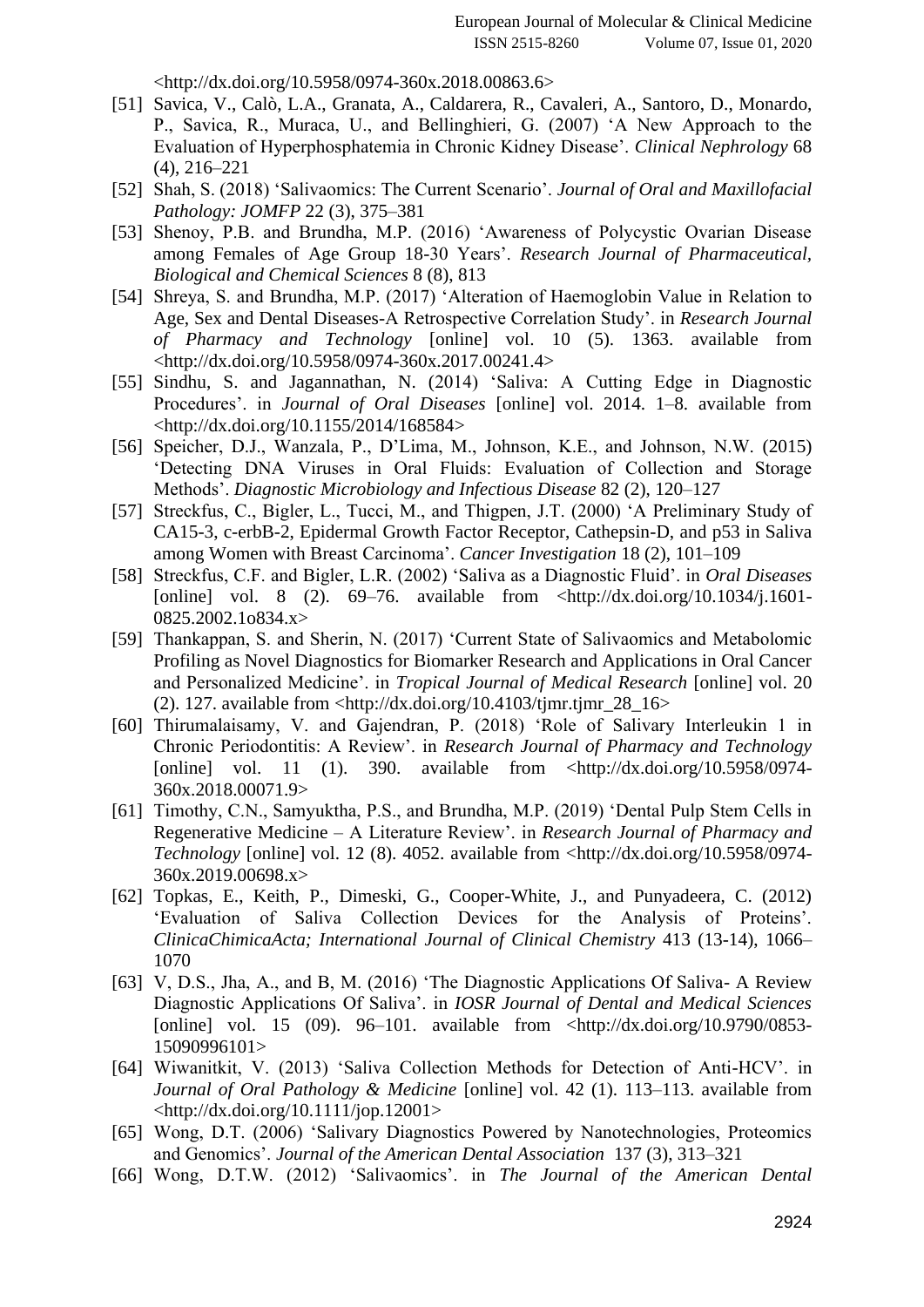[<](http://paperpile.com/b/w4nQV1/ipE4)<http://dx.doi.org/10.5958/0974-360x.2018.00863.6>[>](http://paperpile.com/b/w4nQV1/ipE4)

- [51] [Savica, V., Calò, L.A., Granata, A., Caldarera, R., Cavaleri, A., Santoro, D., Monardo,](http://paperpile.com/b/w4nQV1/hPbC)  [P., Savica, R., Muraca, U., and Bellinghieri, G. \(2007\) 'A New Approach to the](http://paperpile.com/b/w4nQV1/hPbC)  [Evaluation of Hyperphosphatemia in Chronic Kidney Disease'.](http://paperpile.com/b/w4nQV1/hPbC) *[Clinical Nephrology](http://paperpile.com/b/w4nQV1/hPbC)* [68](http://paperpile.com/b/w4nQV1/hPbC)  [\(4\), 216–221](http://paperpile.com/b/w4nQV1/hPbC)
- [52] [Shah, S. \(2018\) 'Salivaomics: The Current Scenario'.](http://paperpile.com/b/w4nQV1/Ld49) *[Journal of Oral and Maxillofacial](http://paperpile.com/b/w4nQV1/Ld49)  [Pathology: JOMFP](http://paperpile.com/b/w4nQV1/Ld49)* [22 \(3\), 375–381](http://paperpile.com/b/w4nQV1/Ld49)
- [53] [Shenoy, P.B. and Brundha, M.P. \(2016\) 'Awareness of Polycystic Ovarian Disease](http://paperpile.com/b/w4nQV1/LnAd)  [among Females of Age Group 18-30 Years'.](http://paperpile.com/b/w4nQV1/LnAd) *[Research Journal of Pharmaceutical,](http://paperpile.com/b/w4nQV1/LnAd)  [Biological and Chemical Sciences](http://paperpile.com/b/w4nQV1/LnAd)* [8 \(8\), 813](http://paperpile.com/b/w4nQV1/LnAd)
- [54] [Shreya, S. and Brundha, M.P. \(2017\) 'Alteration of Haemoglobin Value in Relation to](http://paperpile.com/b/w4nQV1/Xl9w)  [Age, Sex and Dental Diseases-A Retrospective Correlation Study'. in](http://paperpile.com/b/w4nQV1/Xl9w) *[Research Journal](http://paperpile.com/b/w4nQV1/Xl9w)  [of Pharmacy and Technology](http://paperpile.com/b/w4nQV1/Xl9w)* [\[online\] vol. 10 \(5\). 1363. available from](http://paperpile.com/b/w4nQV1/Xl9w)  [<](http://paperpile.com/b/w4nQV1/Xl9w)<http://dx.doi.org/10.5958/0974-360x.2017.00241.4>[>](http://paperpile.com/b/w4nQV1/Xl9w)
- [55] [Sindhu, S. and Jagannathan, N. \(2014\) 'Saliva: A Cutting Edge in Diagnostic](http://paperpile.com/b/w4nQV1/mRtQ)  [Procedures'. in](http://paperpile.com/b/w4nQV1/mRtQ) *[Journal of Oral Diseases](http://paperpile.com/b/w4nQV1/mRtQ)* [\[online\] vol. 2014. 1–8. available from](http://paperpile.com/b/w4nQV1/mRtQ)  [<](http://paperpile.com/b/w4nQV1/mRtQ)<http://dx.doi.org/10.1155/2014/168584>[>](http://paperpile.com/b/w4nQV1/mRtQ)
- [56] [Speicher, D.J., Wanzala, P., D'Lima, M., Johnson, K.E., and Johnson, N.W. \(2015\)](http://paperpile.com/b/w4nQV1/lotD)  ['Detecting DNA Viruses in Oral Fluids: Evaluation of Collection and Storage](http://paperpile.com/b/w4nQV1/lotD)  [Methods'.](http://paperpile.com/b/w4nQV1/lotD) *[Diagnostic Microbiology and Infectious Disease](http://paperpile.com/b/w4nQV1/lotD)* [82 \(2\), 120–127](http://paperpile.com/b/w4nQV1/lotD)
- [57] [Streckfus, C., Bigler, L., Tucci, M., and Thigpen, J.T. \(2000\) 'A Preliminary Study of](http://paperpile.com/b/w4nQV1/IAvS)  [CA15-3, c-erbB-2, Epidermal Growth Factor Receptor, Cathepsin-D, and p53 in Saliva](http://paperpile.com/b/w4nQV1/IAvS)  [among Women with Breast Carcinoma'.](http://paperpile.com/b/w4nQV1/IAvS) *[Cancer Investigation](http://paperpile.com/b/w4nQV1/IAvS)* [18 \(2\), 101–109](http://paperpile.com/b/w4nQV1/IAvS)
- [58] [Streckfus, C.F. and Bigler, L.R. \(2002\) 'Saliva as a Diagnostic Fluid'. in](http://paperpile.com/b/w4nQV1/ziSJ) *[Oral Diseases](http://paperpile.com/b/w4nQV1/ziSJ)* [online] vol. 8 (2).  $69-76$ . available from  $\langle \frac{\text{http://dx.doi.org/10.1034/i.1601-}}{\text{http://dx.doi.org/10.1034/i.1601-}}$ [0825.2002.1o834.x](http://dx.doi.org/10.1034/j.1601-0825.2002.1o834.x)[>](http://paperpile.com/b/w4nQV1/ziSJ)
- [59] [Thankappan, S. and Sherin, N. \(2017\) 'Current State of Salivaomics and Metabolomic](http://paperpile.com/b/w4nQV1/hXS1)  [Profiling as Novel Diagnostics for Biomarker Research and Applications in Oral Cancer](http://paperpile.com/b/w4nQV1/hXS1)  [and Personalized Medicine'. in](http://paperpile.com/b/w4nQV1/hXS1) *[Tropical Journal of Medical Research](http://paperpile.com/b/w4nQV1/hXS1)* [\[online\] vol. 20](http://paperpile.com/b/w4nQV1/hXS1)  (2). 127. available from  $\langle \frac{http://dx.doi.org/10.4103/tjmr.tjmr_28_16 \rangle}{$  $\langle \frac{http://dx.doi.org/10.4103/tjmr.tjmr_28_16 \rangle}{$  $\langle \frac{http://dx.doi.org/10.4103/tjmr.tjmr_28_16 \rangle}{$
- [60] [Thirumalaisamy, V. and Gajendran, P. \(2018\) 'Role of Salivary Interleukin 1 in](http://paperpile.com/b/w4nQV1/bSdF)  [Chronic Periodontitis: A Review'. in](http://paperpile.com/b/w4nQV1/bSdF) *[Research Journal of Pharmacy and Technology](http://paperpile.com/b/w4nQV1/bSdF)* [online] vol. 11 (1). 390. available from  $\langle \frac{http://dx.doi.org/10.5958/0974-}{http://dx.doi.org/10.5958/0974-}$  $\langle \frac{http://dx.doi.org/10.5958/0974-}{http://dx.doi.org/10.5958/0974-}$  $\langle \frac{http://dx.doi.org/10.5958/0974-}{http://dx.doi.org/10.5958/0974-}$ [360x.2018.00071.9](http://dx.doi.org/10.5958/0974-360x.2018.00071.9)[>](http://paperpile.com/b/w4nQV1/bSdF)
- [61] [Timothy, C.N., Samyuktha, P.S., and Brundha, M.P. \(2019\) 'Dental Pulp Stem Cells in](http://paperpile.com/b/w4nQV1/zkGc)  Regenerative Medicine – [A Literature Review'. in](http://paperpile.com/b/w4nQV1/zkGc) *[Research Journal of Pharmacy and](http://paperpile.com/b/w4nQV1/zkGc)  [Technology](http://paperpile.com/b/w4nQV1/zkGc)* [\[online\] vol. 12 \(8\). 4052. available from <](http://paperpile.com/b/w4nQV1/zkGc)[http://dx.doi.org/10.5958/0974-](http://dx.doi.org/10.5958/0974-360x.2019.00698.x) [360x.2019.00698.x](http://dx.doi.org/10.5958/0974-360x.2019.00698.x)[>](http://paperpile.com/b/w4nQV1/zkGc)
- [62] [Topkas, E., Keith, P., Dimeski, G., Cooper-White, J., and Punyadeera, C. \(2012\)](http://paperpile.com/b/w4nQV1/anXK)  ['Evaluation of Saliva Collection Devices for the Analysis of Proteins'.](http://paperpile.com/b/w4nQV1/anXK)  *[ClinicaChimicaActa; International Journal of Clinical Chemistry](http://paperpile.com/b/w4nQV1/anXK)* [413 \(13-14\), 1066–](http://paperpile.com/b/w4nQV1/anXK) [1070](http://paperpile.com/b/w4nQV1/anXK)
- [63] [V, D.S., Jha, A., and B, M. \(2016\) 'The Diagnostic Applications Of Saliva-](http://paperpile.com/b/w4nQV1/64ya) A Review [Diagnostic Applications Of Saliva'. in](http://paperpile.com/b/w4nQV1/64ya) *[IOSR Journal of Dental and Medical Sciences](http://paperpile.com/b/w4nQV1/64ya)* [\[online\] vol. 15 \(09\). 96–101. available from <](http://paperpile.com/b/w4nQV1/64ya)[http://dx.doi.org/10.9790/0853-](http://dx.doi.org/10.9790/0853-15090996101) [15090996101](http://dx.doi.org/10.9790/0853-15090996101)[>](http://paperpile.com/b/w4nQV1/64ya)
- [64] [Wiwanitkit, V. \(2013\) 'Saliva Collection Methods for Detection of Anti-HCV'. in](http://paperpile.com/b/w4nQV1/7IVG)  *[Journal of Oral Pathology & Medicine](http://paperpile.com/b/w4nQV1/7IVG)* [\[online\] vol. 42 \(1\). 113–113. available from](http://paperpile.com/b/w4nQV1/7IVG)  [<](http://paperpile.com/b/w4nQV1/7IVG)<http://dx.doi.org/10.1111/jop.12001>[>](http://paperpile.com/b/w4nQV1/7IVG)
- [65] [Wong, D.T. \(2006\) 'Salivary Diagnostics Powered by Nanotechnologies, Proteomics](http://paperpile.com/b/w4nQV1/YvC5)  [and Genomics'.](http://paperpile.com/b/w4nQV1/YvC5) *[Journal of the American Dental Association](http://paperpile.com/b/w4nQV1/YvC5)* [137 \(3\), 313–321](http://paperpile.com/b/w4nQV1/YvC5)
- [66] [Wong, D.T.W. \(2012\) 'Salivaomics'. in](http://paperpile.com/b/w4nQV1/I0D6) *[The Journal of the American Dental](http://paperpile.com/b/w4nQV1/I0D6)*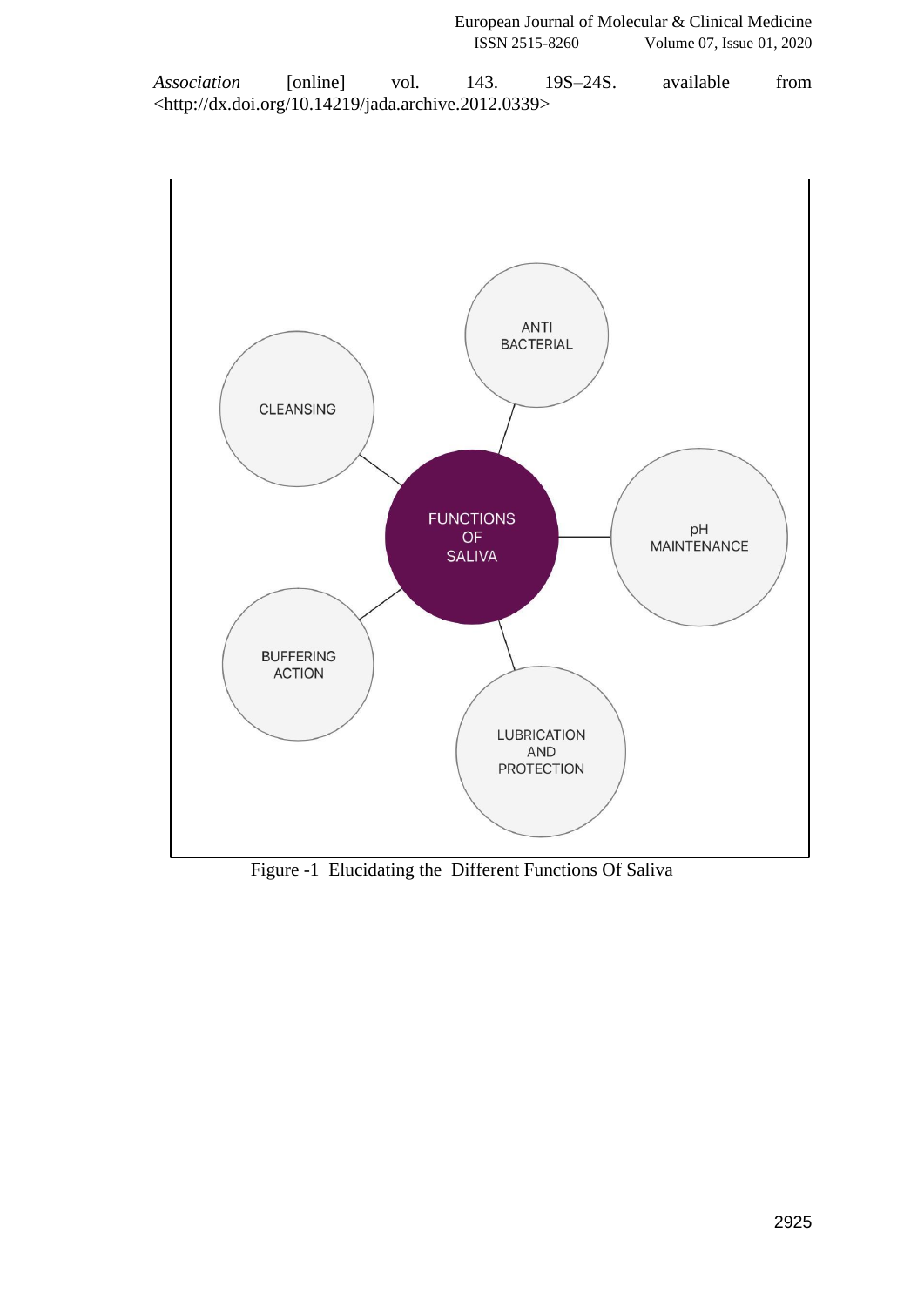*[Association](http://paperpile.com/b/w4nQV1/I0D6)* [\[online\] vol. 143. 19S–24S. available from](http://paperpile.com/b/w4nQV1/I0D6)  [<](http://paperpile.com/b/w4nQV1/I0D6)<http://dx.doi.org/10.14219/jada.archive.2012.0339>[>](http://paperpile.com/b/w4nQV1/I0D6)



Figure -1 Elucidating the Different Functions Of Saliva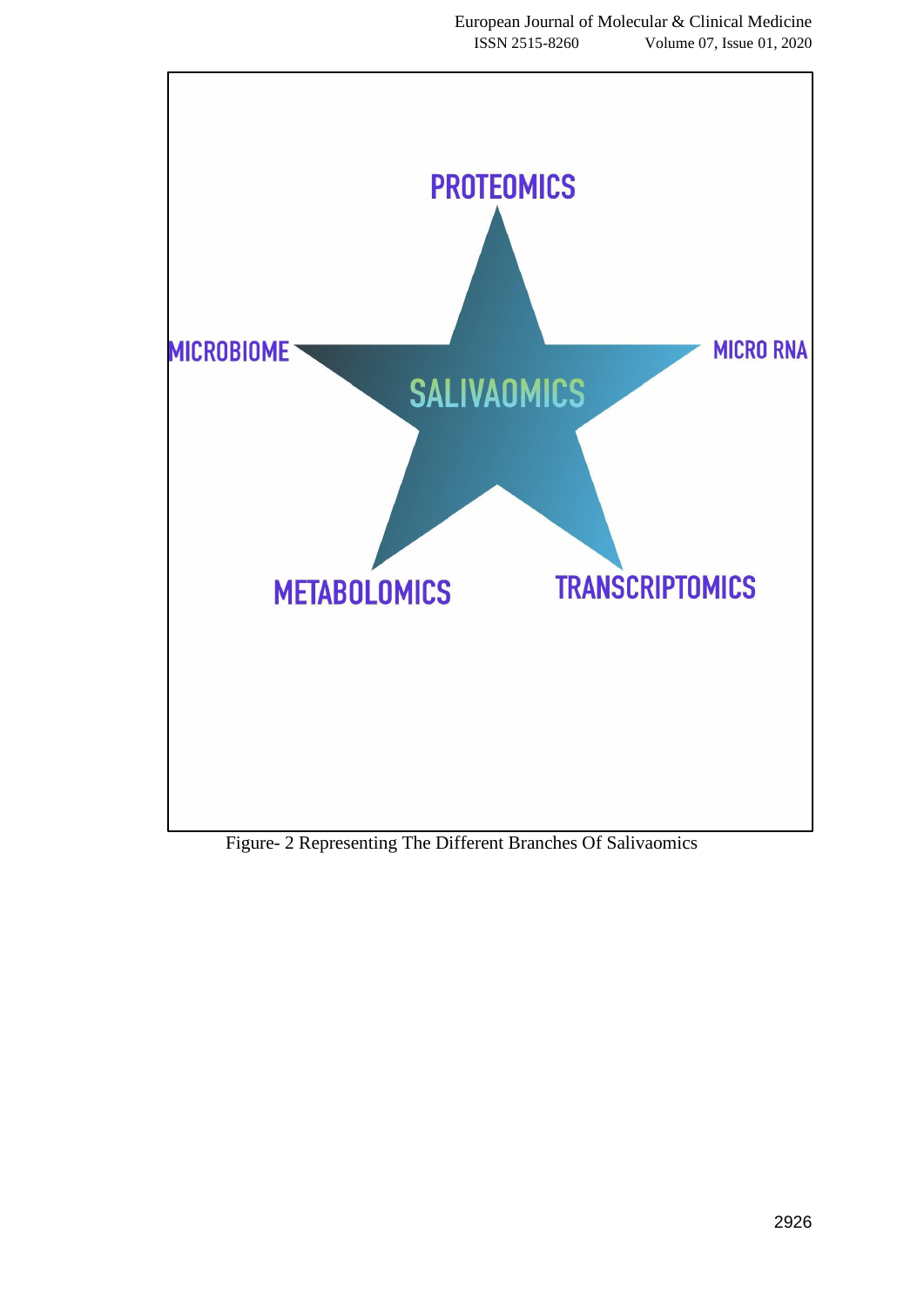

Figure- 2 Representing The Different Branches Of Salivaomics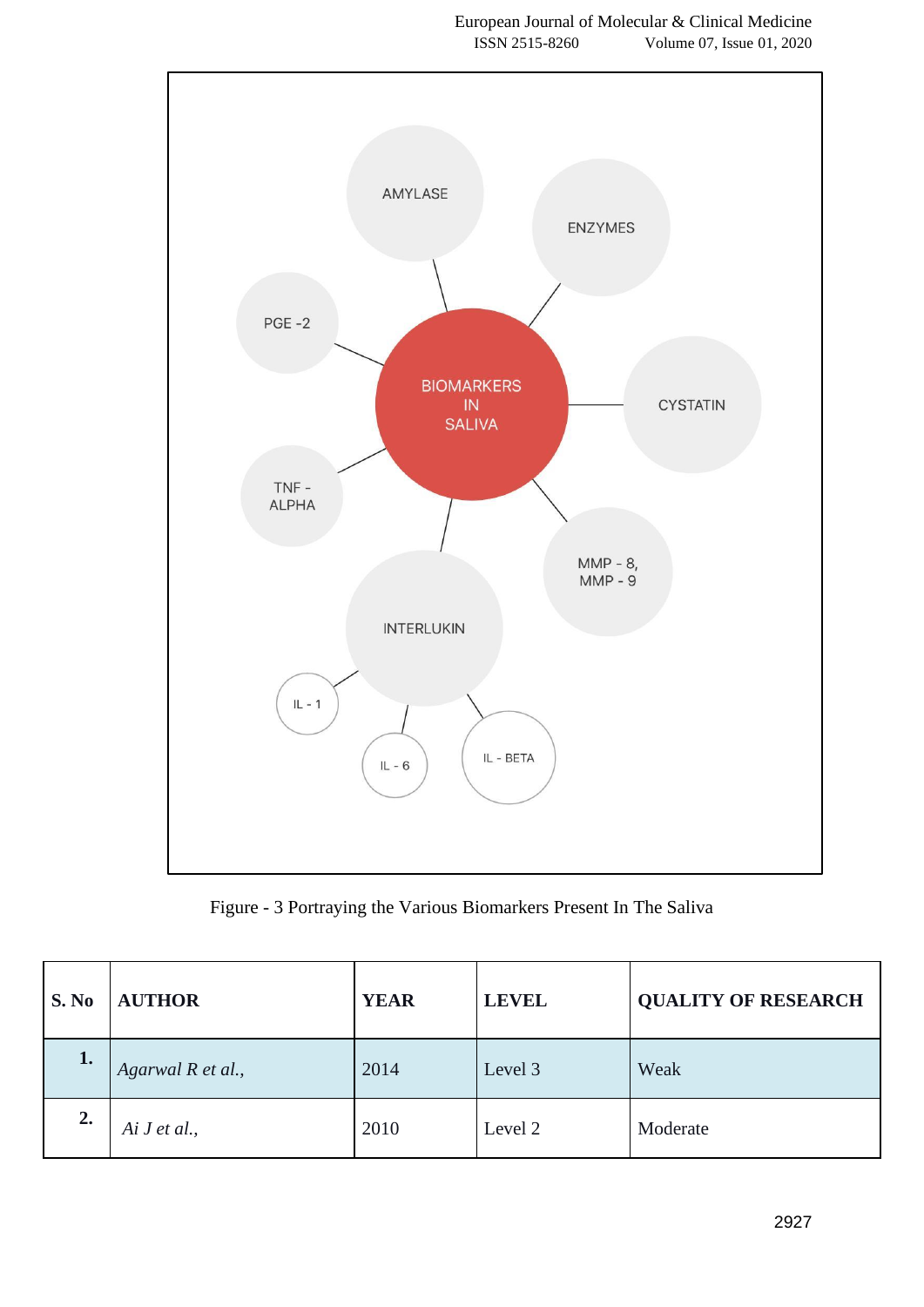

Figure - 3 Portraying the Various Biomarkers Present In The Saliva

| S. No | <b>AUTHOR</b>     | <b>YEAR</b> | <b>LEVEL</b> | <b>QUALITY OF RESEARCH</b> |
|-------|-------------------|-------------|--------------|----------------------------|
| 1.    | Agarwal R et al., | 2014        | Level 3      | Weak                       |
| 2.    | Ai J et al.,      | 2010        | Level 2      | Moderate                   |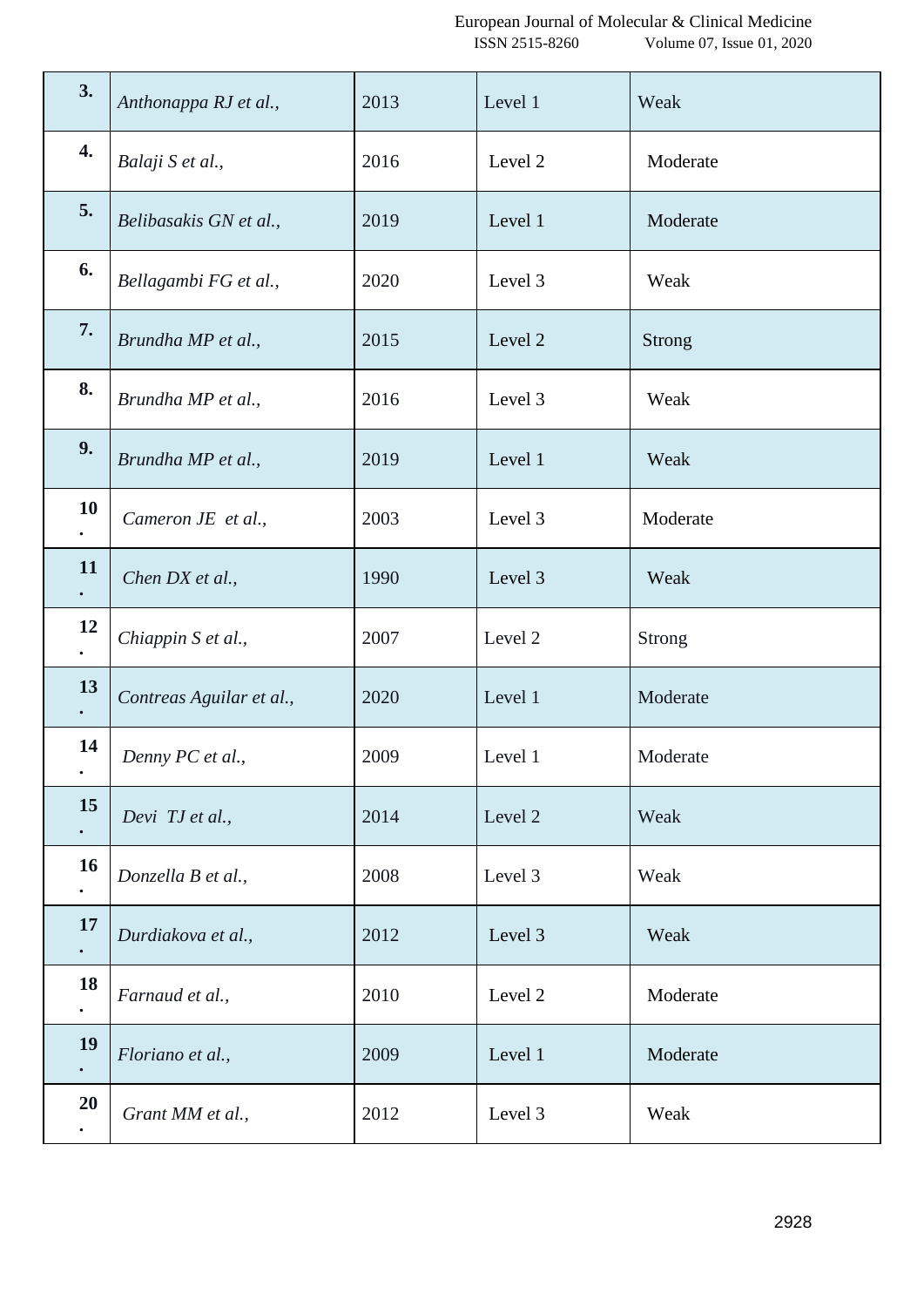| 3.              | Anthonappa RJ et al.,    | 2013 | Level 1 | Weak          |
|-----------------|--------------------------|------|---------|---------------|
| 4.              | Balaji S et al.,         | 2016 | Level 2 | Moderate      |
| 5.              | Belibasakis GN et al.,   | 2019 | Level 1 | Moderate      |
| 6.              | Bellagambi FG et al.,    | 2020 | Level 3 | Weak          |
| 7.              | Brundha MP et al.,       | 2015 | Level 2 | Strong        |
| 8.              | Brundha MP et al.,       | 2016 | Level 3 | Weak          |
| 9.              | Brundha MP et al.,       | 2019 | Level 1 | Weak          |
| <b>10</b>       | Cameron JE et al.,       | 2003 | Level 3 | Moderate      |
| <b>11</b>       | Chen DX et al.,          | 1990 | Level 3 | Weak          |
| 12<br>$\bullet$ | Chiappin S et al.,       | 2007 | Level 2 | <b>Strong</b> |
| 13              | Contreas Aguilar et al., | 2020 | Level 1 | Moderate      |
| 14<br>$\bullet$ | Denny PC et al.,         | 2009 | Level 1 | Moderate      |
| 15              | Devi TJ et al.,          | 2014 | Level 2 | Weak          |
| <b>16</b>       | Donzella B et al.,       | 2008 | Level 3 | Weak          |
| 17<br>$\bullet$ | Durdiakova et al.,       | 2012 | Level 3 | Weak          |
| 18<br>$\bullet$ | Farnaud et al.,          | 2010 | Level 2 | Moderate      |
| 19              | Floriano et al.,         | 2009 | Level 1 | Moderate      |
| 20              | Grant MM et al.,         | 2012 | Level 3 | Weak          |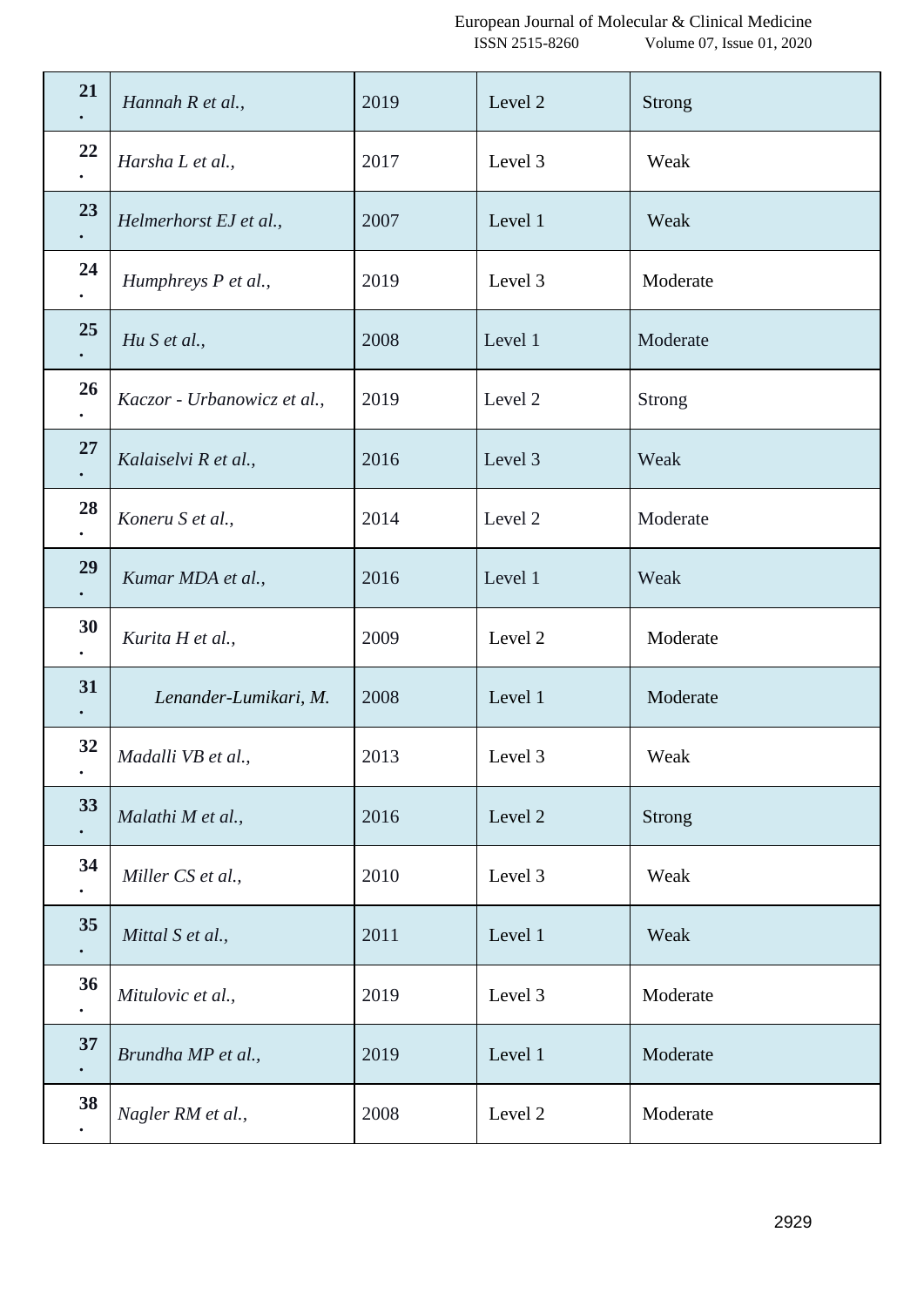| 21              | Hannah R et al.,            | 2019 | Level 2 | Strong        |
|-----------------|-----------------------------|------|---------|---------------|
| 22              | Harsha L et al.,            | 2017 | Level 3 | Weak          |
| 23              | Helmerhorst EJ et al.,      | 2007 | Level 1 | Weak          |
| 24              | Humphreys P et al.,         | 2019 | Level 3 | Moderate      |
| 25              | Hu S et al.,                | 2008 | Level 1 | Moderate      |
| 26              | Kaczor - Urbanowicz et al., | 2019 | Level 2 | <b>Strong</b> |
| 27              | Kalaiselvi R et al.,        | 2016 | Level 3 | Weak          |
| 28              | Koneru S et al.,            | 2014 | Level 2 | Moderate      |
| 29              | Kumar MDA et al.,           | 2016 | Level 1 | Weak          |
| 30<br>٠         | Kurita H et al.,            | 2009 | Level 2 | Moderate      |
| 31              | Lenander-Lumikari, M.       | 2008 | Level 1 | Moderate      |
| 32<br>$\bullet$ | Madalli VB et al.,          | 2013 | Level 3 | Weak          |
| 33              | Malathi M et al.,           | 2016 | Level 2 | <b>Strong</b> |
| 34              | Miller CS et al.,           | 2010 | Level 3 | Weak          |
| 35<br>٠         | Mittal S et al.,            | 2011 | Level 1 | Weak          |
| 36              | Mitulovic et al.,           | 2019 | Level 3 | Moderate      |
| 37              | Brundha MP et al.,          | 2019 | Level 1 | Moderate      |
| 38              | Nagler RM et al.,           | 2008 | Level 2 | Moderate      |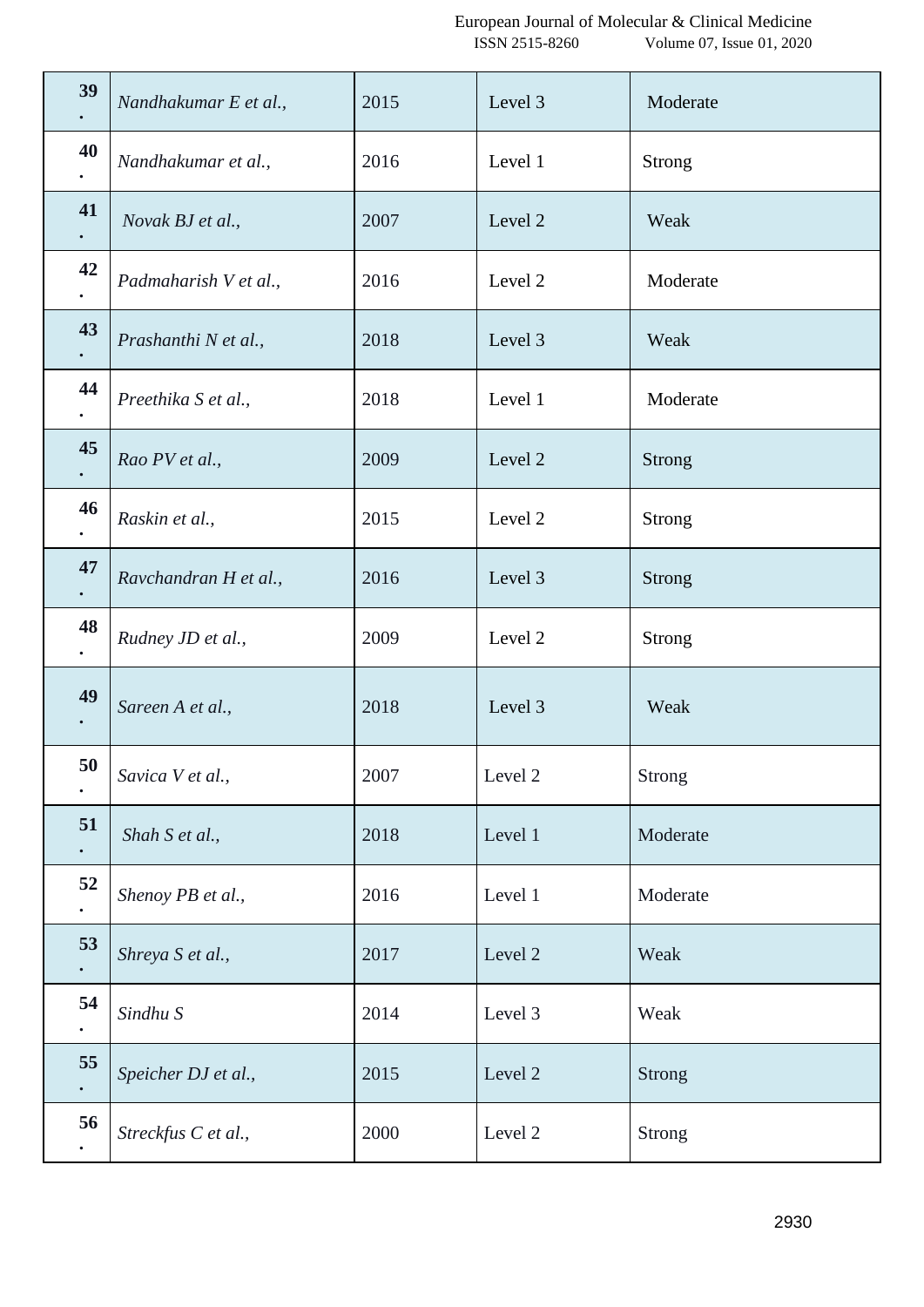| 39              | Nandhakumar E et al., | 2015 | Level 3 | Moderate      |
|-----------------|-----------------------|------|---------|---------------|
| 40              | Nandhakumar et al.,   | 2016 | Level 1 | <b>Strong</b> |
| 41              | Novak BJ et al.,      | 2007 | Level 2 | Weak          |
| 42              | Padmaharish V et al., | 2016 | Level 2 | Moderate      |
| 43<br>$\bullet$ | Prashanthi N et al.,  | 2018 | Level 3 | Weak          |
| 44              | Preethika S et al.,   | 2018 | Level 1 | Moderate      |
| 45              | Rao PV et al.,        | 2009 | Level 2 | <b>Strong</b> |
| 46              | Raskin et al.,        | 2015 | Level 2 | <b>Strong</b> |
| 47              | Ravchandran H et al., | 2016 | Level 3 | Strong        |
| 48              | Rudney JD et al.,     | 2009 | Level 2 | <b>Strong</b> |
| 49<br>$\bullet$ | Sareen A et al.,      | 2018 | Level 3 | Weak          |
| 50              | Savica V et al.,      | 2007 | Level 2 | Strong        |
| 51<br>$\bullet$ | Shah S et al.,        | 2018 | Level 1 | Moderate      |
| 52              | Shenoy PB et al.,     | 2016 | Level 1 | Moderate      |
| 53              | Shreya S et al.,      | 2017 | Level 2 | Weak          |
| 54              | Sindhu S              | 2014 | Level 3 | Weak          |
| 55              | Speicher DJ et al.,   | 2015 | Level 2 | <b>Strong</b> |
| 56              | Streckfus C et al.,   | 2000 | Level 2 | Strong        |